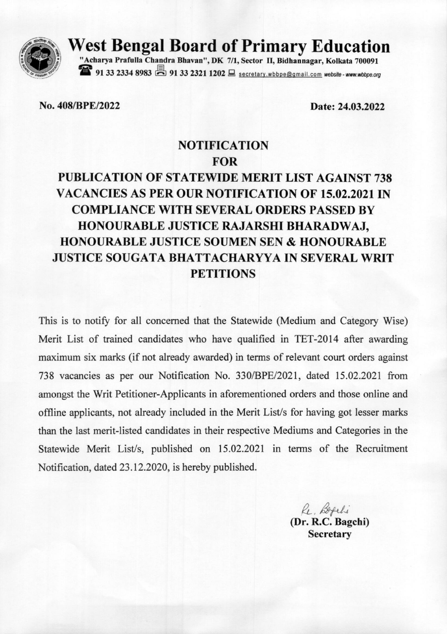

West Bengal Board of Primary Education<br>"Acharya Prafulla Chandra Bhavan", DK 7/1, Sector II, Bidhannagar, Kolkata 700091

91 33 2334 8983 91 33 2321 1202 Secretary wbbpe@gmail.com website - www.wbbpe.org

No. 408/BPE/2022

Date: 24.03.2022

## **NOTIFICATION FOR**

## PUBLICATION OF STATEWIDE MERIT LIST AGAINST 738 VACANCIES AS PER OUR NOTIFICATION OF 15.02.2021 IN **COMPLIANCE WITH SEVERAL ORDERS PASSED BY** HONOURABLE JUSTICE RAJARSHI BHARADWAJ, **HONOURABLE JUSTICE SOUMEN SEN & HONOURABLE JUSTICE SOUGATA BHATTACHARYYA IN SEVERAL WRIT PETITIONS**

This is to notify for all concerned that the Statewide (Medium and Category Wise) Merit List of trained candidates who have qualified in TET-2014 after awarding maximum six marks (if not already awarded) in terms of relevant court orders against 738 vacancies as per our Notification No. 330/BPE/2021, dated 15.02.2021 from amongst the Writ Petitioner-Applicants in aforementioned orders and those online and offline applicants, not already included in the Merit List's for having got lesser marks than the last merit-listed candidates in their respective Mediums and Categories in the Statewide Merit List/s, published on 15.02.2021 in terms of the Recruitment Notification, dated 23.12.2020, is hereby published.

> Re. Befehi (Dr. R.C. Bagchi) **Secretary**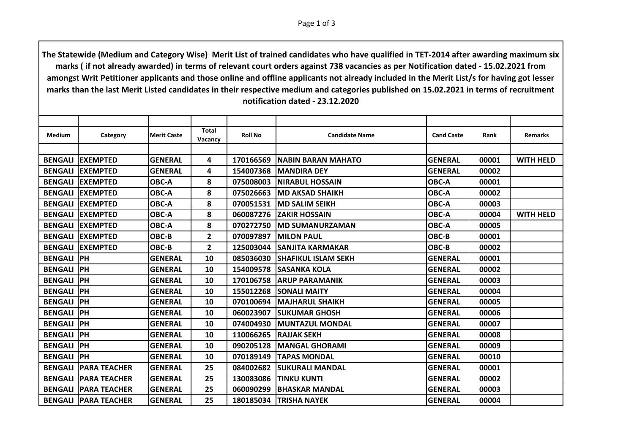| <b>Medium</b>  | Category                      | <b>Merit Caste</b> | Total<br>Vacancy        | <b>Roll No</b> | <b>Candidate Name</b>      | <b>Cand Caste</b> | Rank  | <b>Remarks</b>   |
|----------------|-------------------------------|--------------------|-------------------------|----------------|----------------------------|-------------------|-------|------------------|
|                |                               |                    |                         |                |                            |                   |       |                  |
| <b>BENGALI</b> | <b>EXEMPTED</b>               | <b>GENERAL</b>     | 4                       | 170166569      | INABIN BARAN MAHATO        | <b>GENERAL</b>    | 00001 | <b>WITH HELD</b> |
| <b>BENGALI</b> | <b>IEXEMPTED</b>              | <b>GENERAL</b>     | 4                       | 154007368      | <b>IMANDIRA DEY</b>        | <b>GENERAL</b>    | 00002 |                  |
| <b>BENGALI</b> | <b>EXEMPTED</b>               | OBC-A              | 8                       | 075008003      | <b>INIRABUL HOSSAIN</b>    | OBC-A             | 00001 |                  |
| <b>BENGALI</b> | <b>EXEMPTED</b>               | OBC-A              | 8                       | 075026663      | <b>IMD AKSAD SHAIKH</b>    | <b>OBC-A</b>      | 00002 |                  |
| <b>BENGALI</b> | <b>EXEMPTED</b>               | OBC-A              | 8                       | 070051531      | IMD SALIM SEIKH            | OBC-A             | 00003 |                  |
| <b>BENGALI</b> | <b>EXEMPTED</b>               | OBC-A              | 8                       | 060087276      | <b>ZAKIR HOSSAIN</b>       | <b>OBC-A</b>      | 00004 | <b>WITH HELD</b> |
| <b>BENGALI</b> | <b>EXEMPTED</b>               | OBC-A              | 8                       | 070272750      | <b>MD SUMANURZAMAN</b>     | <b>OBC-A</b>      | 00005 |                  |
| <b>BENGALI</b> | <b>EXEMPTED</b>               | OBC-B              | $\overline{\mathbf{c}}$ | 070097897      | <b>MILON PAUL</b>          | OBC-B             | 00001 |                  |
| <b>BENGALI</b> | <b>EXEMPTED</b>               | OBC-B              | 2                       | 125003044      | ISANJITA KARMAKAR          | OBC-B             | 00002 |                  |
| <b>BENGALI</b> | <b>IPH</b>                    | <b>GENERAL</b>     | 10                      | 085036030      | <b>SHAFIKUL ISLAM SEKH</b> | <b>GENERAL</b>    | 00001 |                  |
| <b>BENGALI</b> | <b>IPH</b>                    | <b>GENERAL</b>     | 10                      | 154009578      | <b>SASANKA KOLA</b>        | <b>GENERAL</b>    | 00002 |                  |
| <b>BENGALI</b> | <b>IPH</b>                    | <b>GENERAL</b>     | 10                      | 170106758      | IARUP PARAMANIK            | <b>GENERAL</b>    | 00003 |                  |
| <b>BENGALI</b> | <b>IPH</b>                    | <b>GENERAL</b>     | 10                      | 155012268      | <b>ISONALI MAITY</b>       | <b>GENERAL</b>    | 00004 |                  |
| <b>BENGALI</b> | <b>IPH</b>                    | <b>GENERAL</b>     | 10                      | 070100694      | İMAJHARUL SHAIKH           | <b>GENERAL</b>    | 00005 |                  |
| <b>BENGALI</b> | <b>IPH</b>                    | <b>GENERAL</b>     | 10                      | 060023907      | <b>SUKUMAR GHOSH</b>       | <b>GENERAL</b>    | 00006 |                  |
| <b>BENGALI</b> | l PH                          | <b>GENERAL</b>     | 10                      | 074004930      | <b>IMUNTAZUL MONDAL</b>    | <b>GENERAL</b>    | 00007 |                  |
| <b>BENGALI</b> | <b>IPH</b>                    | <b>GENERAL</b>     | 10                      | 110066265      | <b>RAJJAK SEKH</b>         | <b>GENERAL</b>    | 00008 |                  |
| <b>BENGALI</b> | <b>IPH</b>                    | <b>GENERAL</b>     | 10                      | 090205128      | <b>IMANGAL GHORAMI</b>     | <b>GENERAL</b>    | 00009 |                  |
| <b>BENGALI</b> | <b>IPH</b>                    | <b>GENERAL</b>     | 10                      | 070189149      | <b>TAPAS MONDAL</b>        | <b>GENERAL</b>    | 00010 |                  |
| <b>BENGALI</b> | <b>PARA TEACHER</b>           | <b>GENERAL</b>     | 25                      | 084002682      | <b>SUKURALI MANDAL</b>     | <b>GENERAL</b>    | 00001 |                  |
| <b>BENGALI</b> | <b>IPARA TEACHER</b>          | <b>GENERAL</b>     | 25                      | 130083086      | <b>TINKU KUNTI</b>         | <b>GENERAL</b>    | 00002 |                  |
| <b>BENGALI</b> | <b>PARA TEACHER</b>           | <b>GENERAL</b>     | 25                      | 060090299      | <b>BHASKAR MANDAL</b>      | <b>GENERAL</b>    | 00003 |                  |
|                | <b>BENGALI   PARA TEACHER</b> | <b>GENERAL</b>     | 25                      | 180185034      | <b>ITRISHA NAYEK</b>       | <b>GENERAL</b>    | 00004 |                  |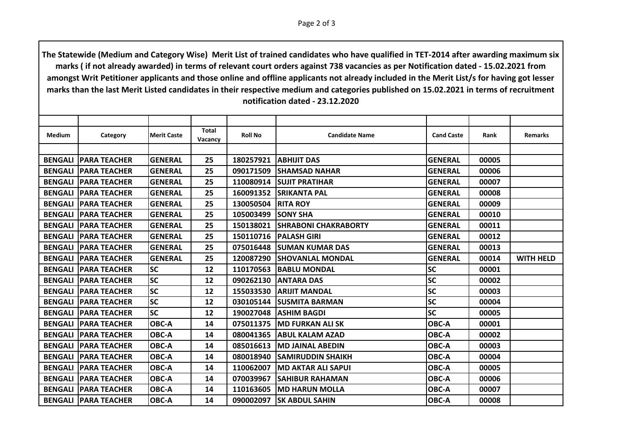| <b>Medium</b>  | Category                      | <b>Merit Caste</b> | Total<br>Vacancy | <b>Roll No</b> | <b>Candidate Name</b>       | <b>Cand Caste</b> | Rank  | <b>Remarks</b>   |
|----------------|-------------------------------|--------------------|------------------|----------------|-----------------------------|-------------------|-------|------------------|
|                |                               |                    |                  |                |                             |                   |       |                  |
| <b>BENGALI</b> | <b>PARA TEACHER</b>           | <b>GENERAL</b>     | 25               | 180257921      | <b>ABHIJIT DAS</b>          | <b>GENERAL</b>    | 00005 |                  |
| <b>BENGALI</b> | <b>PARA TEACHER</b>           | <b>GENERAL</b>     | 25               | 090171509      | <b>SHAMSAD NAHAR</b>        | <b>GENERAL</b>    | 00006 |                  |
| <b>BENGALI</b> | <b>PARA TEACHER</b>           | <b>GENERAL</b>     | 25               | 110080914      | <b>ISUJIT PRATIHAR</b>      | <b>GENERAL</b>    | 00007 |                  |
| <b>BENGALI</b> | <b>PARA TEACHER</b>           | <b>GENERAL</b>     | 25               | 160091352      | <b>SRIKANTA PAL</b>         | <b>GENERAL</b>    | 00008 |                  |
| <b>BENGALI</b> | <b>PARA TEACHER</b>           | <b>GENERAL</b>     | 25               | 130050504      | <b>RITA ROY</b>             | <b>GENERAL</b>    | 00009 |                  |
| <b>BENGALI</b> | <b>PARA TEACHER</b>           | <b>GENERAL</b>     | 25               | 105003499      | <b>SONY SHA</b>             | <b>GENERAL</b>    | 00010 |                  |
| <b>BENGALI</b> | <b>PARA TEACHER</b>           | <b>GENERAL</b>     | 25               | 150138021      | <b>SHRABONI CHAKRABORTY</b> | <b>GENERAL</b>    | 00011 |                  |
| <b>BENGALI</b> | <b>PARA TEACHER</b>           | <b>GENERAL</b>     | 25               | 150110716      | <b>PALASH GIRI</b>          | <b>GENERAL</b>    | 00012 |                  |
| <b>BENGALI</b> | <b>PARA TEACHER</b>           | <b>GENERAL</b>     | 25               | 075016448      | <b>ISUMAN KUMAR DAS</b>     | <b>GENERAL</b>    | 00013 |                  |
| <b>BENGALI</b> | <b>PARA TEACHER</b>           | <b>GENERAL</b>     | 25               | 120087290      | <b>SHOVANLAL MONDAL</b>     | <b>GENERAL</b>    | 00014 | <b>WITH HELD</b> |
| <b>BENGALI</b> | <b>PARA TEACHER</b>           | <b>SC</b>          | 12               | 110170563      | <b>BABLU MONDAL</b>         | <b>SC</b>         | 00001 |                  |
| <b>BENGALI</b> | IPARA TEACHER                 | <b>SC</b>          | 12               | 090262130      | <b>ANTARA DAS</b>           | <b>SC</b>         | 00002 |                  |
| <b>BENGALI</b> | IPARA TEACHER                 | <b>SC</b>          | 12               | 155033530      | <b>ARIJIT MANDAL</b>        | <b>SC</b>         | 00003 |                  |
| <b>BENGALI</b> | <b>PARA TEACHER</b>           | <b>SC</b>          | 12               | 030105144      | <b>ISUSMITA BARMAN</b>      | <b>SC</b>         | 00004 |                  |
| <b>BENGALI</b> | <b>PARA TEACHER</b>           | <b>SC</b>          | 12               | 190027048      | <b>ASHIM BAGDI</b>          | <b>SC</b>         | 00005 |                  |
| <b>BENGALI</b> | <b>PARA TEACHER</b>           | OBC-A              | 14               | 075011375      | <b>IMD FURKAN ALI SK</b>    | OBC-A             | 00001 |                  |
| <b>BENGALI</b> | IPARA TEACHER                 | OBC-A              | 14               | 080041365      | <b>ABUL KALAM AZAD</b>      | OBC-A             | 00002 |                  |
| <b>BENGALI</b> | <b>PARA TEACHER</b>           | OBC-A              | 14               | 085016613      | <b>MD JAINAL ABEDIN</b>     | <b>OBC-A</b>      | 00003 |                  |
| <b>BENGALI</b> | <b>PARA TEACHER</b>           | OBC-A              | 14               | 080018940      | <b>SAMIRUDDIN SHAIKH</b>    | OBC-A             | 00004 |                  |
| <b>BENGALI</b> | <b>PARA TEACHER</b>           | OBC-A              | 14               | 110062007      | <b>MD AKTAR ALI SAPUI</b>   | OBC-A             | 00005 |                  |
| <b>BENGALI</b> | IPARA TEACHER                 | OBC-A              | 14               | 070039967      | <b>SAHIBUR RAHAMAN</b>      | OBC-A             | 00006 |                  |
| <b>BENGALI</b> | <b>PARA TEACHER</b>           | OBC-A              | 14               | 110163605      | <b>IMD HARUN MOLLA</b>      | OBC-A             | 00007 |                  |
|                | <b>BENGALI   PARA TEACHER</b> | OBC-A              | 14               | 090002097      | <b>SK ABDUL SAHIN</b>       | OBC-A             | 00008 |                  |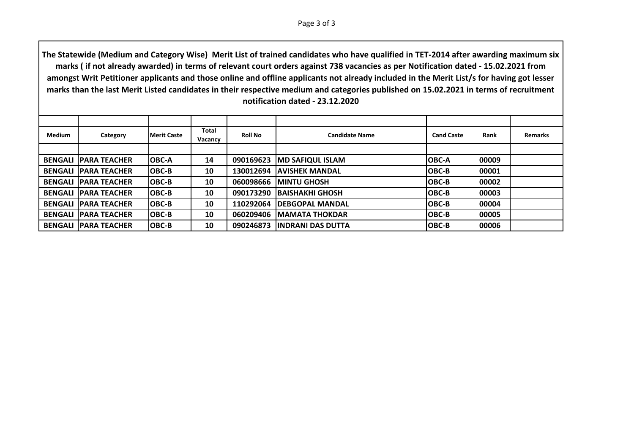Page 3 of 3

| <b>Medium</b> | Category                      | <b>IMerit Caste</b> | Total<br>Vacancy | <b>Roll No</b> | <b>Candidate Name</b>    | <b>Cand Caste</b> | Rank  | <b>Remarks</b> |
|---------------|-------------------------------|---------------------|------------------|----------------|--------------------------|-------------------|-------|----------------|
|               |                               |                     |                  |                |                          |                   |       |                |
|               | <b>BENGALI IPARA TEACHER</b>  | <b>OBC-A</b>        | 14               | 090169623      | <b>IMD SAFIQUL ISLAM</b> | <b>OBC-A</b>      | 00009 |                |
|               | <b>BENGALI IPARA TEACHER</b>  | OBC-B               | 10               | 130012694      | <b>JAVISHEK MANDAL</b>   | <b>OBC-B</b>      | 00001 |                |
|               | <b>BENGALI IPARA TEACHER</b>  | OBC-B               | 10               | 060098666      | <b>IMINTU GHOSH</b>      | <b>OBC-B</b>      | 00002 |                |
|               | <b>BENGALI IPARA TEACHER</b>  | OBC-B               | 10               | 090173290      | <b>IBAISHAKHI GHOSH</b>  | <b>OBC-B</b>      | 00003 |                |
|               | <b>BENGALI IPARA TEACHER</b>  | OBC-B               | 10               | 110292064      | <b>IDEBGOPAL MANDAL</b>  | <b>OBC-B</b>      | 00004 |                |
|               | <b>BENGALI IPARA TEACHER</b>  | OBC-B               | 10               | 060209406      | <b>IMAMATA THOKDAR</b>   | <b>OBC-B</b>      | 00005 |                |
|               | <b>BENGALI   PARA TEACHER</b> | <b>IOBC-B</b>       | 10               | 090246873      | <b>INDRANI DAS DUTTA</b> | IOBC-B            | 00006 |                |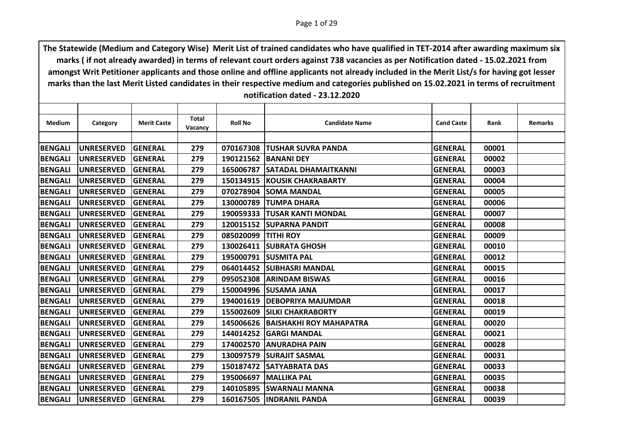| <b>Medium</b>  | Category          | <b>Merit Caste</b> | <b>Total</b> | <b>Roll No</b> | <b>Candidate Name</b>          | <b>Cand Caste</b> | Rank  | <b>Remarks</b> |
|----------------|-------------------|--------------------|--------------|----------------|--------------------------------|-------------------|-------|----------------|
|                |                   |                    | Vacancy      |                |                                |                   |       |                |
|                |                   |                    |              |                |                                |                   |       |                |
| <b>BENGALI</b> | <b>UNRESERVED</b> | <b>GENERAL</b>     | 279          | 070167308      | <b>TUSHAR SUVRA PANDA</b>      | <b>GENERAL</b>    | 00001 |                |
| <b>BENGALI</b> | <b>UNRESERVED</b> | <b>GENERAL</b>     | 279          | 190121562      | <b>IBANANI DEY</b>             | <b>GENERAL</b>    | 00002 |                |
| <b>BENGALI</b> | <b>UNRESERVED</b> | <b>GENERAL</b>     | 279          | 165006787      | <b>SATADAL DHAMAITKANNI</b>    | <b>GENERAL</b>    | 00003 |                |
| <b>BENGALI</b> | <b>UNRESERVED</b> | <b>GENERAL</b>     | 279          |                | 150134915 KOUSIK CHAKRABARTY   | <b>GENERAL</b>    | 00004 |                |
| <b>BENGALI</b> | <b>UNRESERVED</b> | <b>GENERAL</b>     | 279          | 070278904      | <b>SOMA MANDAL</b>             | <b>GENERAL</b>    | 00005 |                |
| <b>BENGALI</b> | <b>UNRESERVED</b> | <b>GENERAL</b>     | 279          | 130000789      | <b>TUMPA DHARA</b>             | <b>GENERAL</b>    | 00006 |                |
| <b>BENGALI</b> | <b>UNRESERVED</b> | <b>GENERAL</b>     | 279          |                | 190059333 TUSAR KANTI MONDAL   | <b>GENERAL</b>    | 00007 |                |
| <b>BENGALI</b> | <b>UNRESERVED</b> | <b>GENERAL</b>     | 279          | 120015152      | <b>ISUPARNA PANDIT</b>         | <b>GENERAL</b>    | 00008 |                |
| <b>BENGALI</b> | <b>UNRESERVED</b> | <b>GENERAL</b>     | 279          | 085020099      | <b>TITHI ROY</b>               | <b>GENERAL</b>    | 00009 |                |
| <b>BENGALI</b> | <b>UNRESERVED</b> | <b>GENERAL</b>     | 279          |                | 130026411 SUBRATA GHOSH        | <b>GENERAL</b>    | 00010 |                |
| <b>BENGALI</b> | <b>UNRESERVED</b> | <b>GENERAL</b>     | 279          | 195000791      | <b>ISUSMITA PAL</b>            | <b>GENERAL</b>    | 00012 |                |
| <b>BENGALI</b> | <b>UNRESERVED</b> | <b>GENERAL</b>     | 279          |                | 064014452 SUBHASRI MANDAL      | <b>GENERAL</b>    | 00015 |                |
| <b>BENGALI</b> | <b>UNRESERVED</b> | <b>GENERAL</b>     | 279          | 095052308      | <b>ARINDAM BISWAS</b>          | <b>GENERAL</b>    | 00016 |                |
| <b>BENGALI</b> | <b>UNRESERVED</b> | <b>GENERAL</b>     | 279          |                | 150004996 SUSAMA JANA          | <b>GENERAL</b>    | 00017 |                |
| <b>BENGALI</b> | <b>UNRESERVED</b> | <b>GENERAL</b>     | 279          |                | 194001619   DEBOPRIYA MAJUMDAR | <b>GENERAL</b>    | 00018 |                |
| <b>BENGALI</b> | <b>UNRESERVED</b> | <b>GENERAL</b>     | 279          | 155002609      | <b>SILKI CHAKRABORTY</b>       | <b>GENERAL</b>    | 00019 |                |
| <b>BENGALI</b> | <b>UNRESERVED</b> | <b>GENERAL</b>     | 279          | 145006626      | <b>BAISHAKHI ROY MAHAPATRA</b> | <b>GENERAL</b>    | 00020 |                |
| <b>BENGALI</b> | <b>UNRESERVED</b> | <b>GENERAL</b>     | 279          | 144014252      | <b>GARGI MANDAL</b>            | <b>GENERAL</b>    | 00021 |                |
| <b>BENGALI</b> | <b>UNRESERVED</b> | <b>GENERAL</b>     | 279          | 174002570      | <b>ANURADHA PAIN</b>           | <b>GENERAL</b>    | 00028 |                |
| <b>BENGALI</b> | <b>UNRESERVED</b> | <b>GENERAL</b>     | 279          | 130097579      | <b>ISURAJIT SASMAL</b>         | <b>GENERAL</b>    | 00031 |                |
| <b>BENGALI</b> | <b>UNRESERVED</b> | <b>GENERAL</b>     | 279          |                | 150187472 SATYABRATA DAS       | <b>GENERAL</b>    | 00033 |                |
| <b>BENGALI</b> | <b>UNRESERVED</b> | <b>GENERAL</b>     | 279          | 195006697      | <b>IMALLIKA PAL</b>            | <b>GENERAL</b>    | 00035 |                |
| <b>BENGALI</b> | <b>UNRESERVED</b> | <b>GENERAL</b>     | 279          | 140105895      | <b>ISWARNALI MANNA</b>         | <b>GENERAL</b>    | 00038 |                |
| <b>BENGALI</b> | <b>UNRESERVED</b> | <b>GENERAL</b>     | 279          |                | 160167505  INDRANIL PANDA      | <b>GENERAL</b>    | 00039 |                |
|                |                   |                    |              |                |                                |                   |       |                |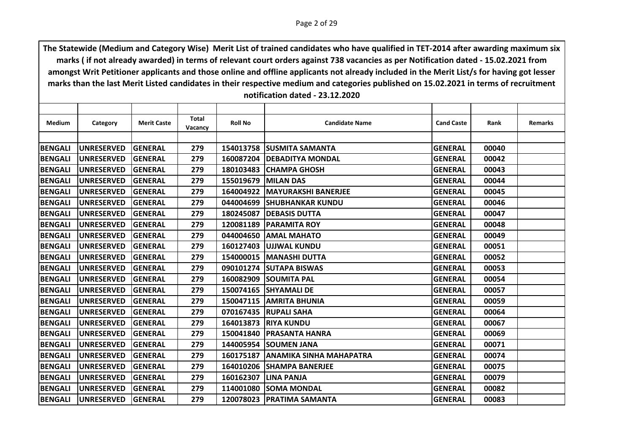| Medium         | Category          | <b>Merit Caste</b> | <b>Total</b><br>Vacancy | <b>Roll No</b> | <b>Candidate Name</b>       | <b>Cand Caste</b> | Rank  | <b>Remarks</b> |
|----------------|-------------------|--------------------|-------------------------|----------------|-----------------------------|-------------------|-------|----------------|
|                |                   |                    |                         |                |                             |                   |       |                |
| <b>BENGALI</b> | <b>UNRESERVED</b> | <b>GENERAL</b>     | 279                     |                | 154013758 SUSMITA SAMANTA   | <b>GENERAL</b>    | 00040 |                |
| <b>BENGALI</b> | <b>UNRESERVED</b> | <b>GENERAL</b>     | 279                     | 160087204      | <b>IDEBADITYA MONDAL</b>    | <b>GENERAL</b>    | 00042 |                |
| <b>BENGALI</b> | <b>UNRESERVED</b> | <b>GENERAL</b>     | 279                     | 180103483      | <b>CHAMPA GHOSH</b>         | <b>GENERAL</b>    | 00043 |                |
| <b>BENGALI</b> | <b>UNRESERVED</b> | <b>GENERAL</b>     | 279                     |                | 155019679 MILAN DAS         | <b>GENERAL</b>    | 00044 |                |
| <b>BENGALI</b> | <b>UNRESERVED</b> | <b>GENERAL</b>     | 279                     | 164004922      | <b>MAYURAKSHI BANERJEE</b>  | <b>GENERAL</b>    | 00045 |                |
| <b>BENGALI</b> | <b>UNRESERVED</b> | GENERAL            | 279                     |                | 044004699 SHUBHANKAR KUNDU  | <b>GENERAL</b>    | 00046 |                |
| <b>BENGALI</b> | <b>UNRESERVED</b> | <b>GENERAL</b>     | 279                     | 180245087      | <b>IDEBASIS DUTTA</b>       | <b>GENERAL</b>    | 00047 |                |
| <b>BENGALI</b> | <b>UNRESERVED</b> | <b>GENERAL</b>     | 279                     | 120081189      | IPARAMITA ROY               | <b>GENERAL</b>    | 00048 |                |
| <b>BENGALI</b> | <b>UNRESERVED</b> | <b>GENERAL</b>     | 279                     | 044004650      | <b>JAMAL MAHATO</b>         | <b>GENERAL</b>    | 00049 |                |
| <b>BENGALI</b> | <b>UNRESERVED</b> | <b>GENERAL</b>     | 279                     | 160127403      | <b>JUJJWAL KUNDU</b>        | <b>GENERAL</b>    | 00051 |                |
| <b>BENGALI</b> | <b>UNRESERVED</b> | <b>GENERAL</b>     | 279                     | 154000015      | <b>MANASHI DUTTA</b>        | <b>GENERAL</b>    | 00052 |                |
| <b>BENGALI</b> | <b>UNRESERVED</b> | <b>GENERAL</b>     | 279                     |                | 090101274 SUTAPA BISWAS     | <b>GENERAL</b>    | 00053 |                |
| <b>BENGALI</b> | <b>UNRESERVED</b> | <b>GENERAL</b>     | 279                     | 160082909      | <b>SOUMITA PAL</b>          | <b>GENERAL</b>    | 00054 |                |
| <b>BENGALI</b> | <b>UNRESERVED</b> | <b>GENERAL</b>     | 279                     | 150074165      | <b>ISHYAMALI DE</b>         | <b>GENERAL</b>    | 00057 |                |
| <b>BENGALI</b> | <b>UNRESERVED</b> | <b>GENERAL</b>     | 279                     |                | 150047115 AMRITA BHUNIA     | <b>GENERAL</b>    | 00059 |                |
| <b>BENGALI</b> | <b>UNRESERVED</b> | <b>GENERAL</b>     | 279                     | 070167435      | <b>RUPALI SAHA</b>          | <b>GENERAL</b>    | 00064 |                |
| <b>BENGALI</b> | <b>UNRESERVED</b> | <b>GENERAL</b>     | 279                     | 164013873      | <b>RIYA KUNDU</b>           | <b>GENERAL</b>    | 00067 |                |
| <b>BENGALI</b> | <b>UNRESERVED</b> | <b>GENERAL</b>     | 279                     | 150041840      | <b>IPRASANTA HANRA</b>      | <b>GENERAL</b>    | 00069 |                |
| <b>BENGALI</b> | <b>UNRESERVED</b> | <b>GENERAL</b>     | 279                     |                | 144005954 SOUMEN JANA       | <b>GENERAL</b>    | 00071 |                |
| <b>BENGALI</b> | <b>UNRESERVED</b> | <b>GENERAL</b>     | 279                     | 160175187      | ANAMIKA SINHA MAHAPATRA     | <b>GENERAL</b>    | 00074 |                |
| <b>BENGALI</b> | <b>UNRESERVED</b> | <b>GENERAL</b>     | 279                     |                | 164010206 SHAMPA BANERJEE   | <b>GENERAL</b>    | 00075 |                |
| <b>BENGALI</b> | <b>UNRESERVED</b> | <b>GENERAL</b>     | 279                     | 160162307      | <b>LINA PANJA</b>           | <b>GENERAL</b>    | 00079 |                |
| <b>BENGALI</b> | <b>UNRESERVED</b> | <b>GENERAL</b>     | 279                     | 114001080      | <b>ISOMA MONDAL</b>         | <b>GENERAL</b>    | 00082 |                |
| <b>BENGALI</b> | <b>UNRESERVED</b> | <b>GENERAL</b>     | 279                     |                | 120078023   PRATIMA SAMANTA | <b>GENERAL</b>    | 00083 |                |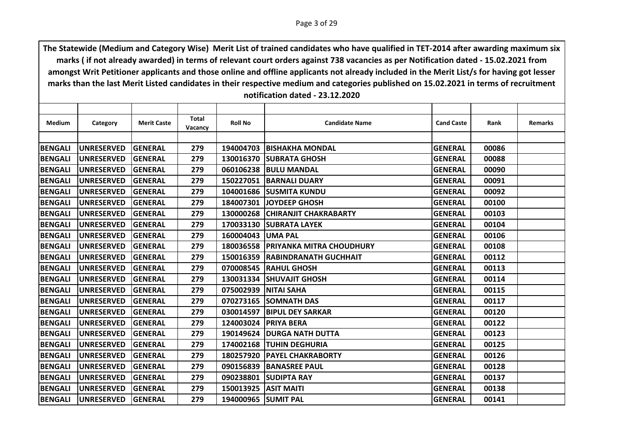| Category          | <b>Merit Caste</b> | <b>Total</b><br>Vacancy | <b>Roll No</b> | <b>Candidate Name</b> | <b>Cand Caste</b>                                                                                                                                                                                                                                                                                                                                                                                                                                                                                                                                                               | Rank  | <b>Remarks</b> |
|-------------------|--------------------|-------------------------|----------------|-----------------------|---------------------------------------------------------------------------------------------------------------------------------------------------------------------------------------------------------------------------------------------------------------------------------------------------------------------------------------------------------------------------------------------------------------------------------------------------------------------------------------------------------------------------------------------------------------------------------|-------|----------------|
|                   |                    |                         |                |                       |                                                                                                                                                                                                                                                                                                                                                                                                                                                                                                                                                                                 |       |                |
| <b>UNRESERVED</b> | <b>GENERAL</b>     | 279                     |                |                       | <b>GENERAL</b>                                                                                                                                                                                                                                                                                                                                                                                                                                                                                                                                                                  | 00086 |                |
| <b>UNRESERVED</b> | <b>GENERAL</b>     | 279                     | 130016370      |                       | <b>GENERAL</b>                                                                                                                                                                                                                                                                                                                                                                                                                                                                                                                                                                  | 00088 |                |
| <b>UNRESERVED</b> | <b>GENERAL</b>     | 279                     |                |                       | <b>GENERAL</b>                                                                                                                                                                                                                                                                                                                                                                                                                                                                                                                                                                  | 00090 |                |
| <b>UNRESERVED</b> | <b>GENERAL</b>     | 279                     |                |                       | <b>GENERAL</b>                                                                                                                                                                                                                                                                                                                                                                                                                                                                                                                                                                  | 00091 |                |
| <b>UNRESERVED</b> | <b>GENERAL</b>     | 279                     | 104001686      |                       | <b>GENERAL</b>                                                                                                                                                                                                                                                                                                                                                                                                                                                                                                                                                                  | 00092 |                |
| <b>UNRESERVED</b> | <b>GENERAL</b>     | 279                     |                |                       | <b>GENERAL</b>                                                                                                                                                                                                                                                                                                                                                                                                                                                                                                                                                                  | 00100 |                |
| <b>UNRESERVED</b> | <b>GENERAL</b>     | 279                     | 130000268      |                       | <b>GENERAL</b>                                                                                                                                                                                                                                                                                                                                                                                                                                                                                                                                                                  | 00103 |                |
| <b>UNRESERVED</b> | <b>GENERAL</b>     | 279                     | 170033130      |                       | <b>GENERAL</b>                                                                                                                                                                                                                                                                                                                                                                                                                                                                                                                                                                  | 00104 |                |
| <b>UNRESERVED</b> | <b>GENERAL</b>     | 279                     | 160004043      |                       | <b>GENERAL</b>                                                                                                                                                                                                                                                                                                                                                                                                                                                                                                                                                                  | 00106 |                |
| <b>UNRESERVED</b> | <b>GENERAL</b>     | 279                     |                |                       | <b>GENERAL</b>                                                                                                                                                                                                                                                                                                                                                                                                                                                                                                                                                                  | 00108 |                |
| <b>UNRESERVED</b> | <b>GENERAL</b>     | 279                     | 150016359      |                       | <b>GENERAL</b>                                                                                                                                                                                                                                                                                                                                                                                                                                                                                                                                                                  | 00112 |                |
| <b>UNRESERVED</b> | <b>GENERAL</b>     | 279                     |                |                       | <b>GENERAL</b>                                                                                                                                                                                                                                                                                                                                                                                                                                                                                                                                                                  | 00113 |                |
| <b>UNRESERVED</b> | <b>GENERAL</b>     | 279                     |                |                       | <b>GENERAL</b>                                                                                                                                                                                                                                                                                                                                                                                                                                                                                                                                                                  | 00114 |                |
| <b>UNRESERVED</b> | <b>GENERAL</b>     | 279                     | 075002939      | <b>NITAI SAHA</b>     | <b>GENERAL</b>                                                                                                                                                                                                                                                                                                                                                                                                                                                                                                                                                                  | 00115 |                |
| <b>UNRESERVED</b> | <b>GENERAL</b>     | 279                     |                |                       | <b>GENERAL</b>                                                                                                                                                                                                                                                                                                                                                                                                                                                                                                                                                                  | 00117 |                |
| <b>UNRESERVED</b> | <b>GENERAL</b>     | 279                     | 030014597      |                       | <b>GENERAL</b>                                                                                                                                                                                                                                                                                                                                                                                                                                                                                                                                                                  | 00120 |                |
| <b>UNRESERVED</b> | <b>GENERAL</b>     | 279                     | 124003024      | <b>PRIYA BERA</b>     | <b>GENERAL</b>                                                                                                                                                                                                                                                                                                                                                                                                                                                                                                                                                                  | 00122 |                |
| <b>UNRESERVED</b> | <b>GENERAL</b>     | 279                     |                |                       | <b>GENERAL</b>                                                                                                                                                                                                                                                                                                                                                                                                                                                                                                                                                                  | 00123 |                |
| <b>UNRESERVED</b> | <b>GENERAL</b>     | 279                     | 174002168      |                       | <b>GENERAL</b>                                                                                                                                                                                                                                                                                                                                                                                                                                                                                                                                                                  | 00125 |                |
| <b>UNRESERVED</b> | <b>GENERAL</b>     | 279                     | 180257920      |                       | <b>GENERAL</b>                                                                                                                                                                                                                                                                                                                                                                                                                                                                                                                                                                  | 00126 |                |
| <b>UNRESERVED</b> | <b>GENERAL</b>     | 279                     | 090156839      |                       | <b>GENERAL</b>                                                                                                                                                                                                                                                                                                                                                                                                                                                                                                                                                                  | 00128 |                |
| <b>UNRESERVED</b> | <b>GENERAL</b>     | 279                     | 090238801      |                       | <b>GENERAL</b>                                                                                                                                                                                                                                                                                                                                                                                                                                                                                                                                                                  | 00137 |                |
| <b>UNRESERVED</b> | <b>GENERAL</b>     | 279                     | 150013925      | <b>ASIT MAITI</b>     | <b>GENERAL</b>                                                                                                                                                                                                                                                                                                                                                                                                                                                                                                                                                                  | 00138 |                |
| <b>UNRESERVED</b> | <b>GENERAL</b>     | 279                     |                |                       | <b>GENERAL</b>                                                                                                                                                                                                                                                                                                                                                                                                                                                                                                                                                                  | 00141 |                |
|                   |                    |                         |                |                       | 194004703 BISHAKHA MONDAL<br><b>ISUBRATA GHOSH</b><br>060106238 BULU MANDAL<br>150227051 BARNALI DUARY<br><b>ISUSMITA KUNDU</b><br>184007301 JOYDEEP GHOSH<br><b>CHIRANJIT CHAKRABARTY</b><br><b>ISUBRATA LAYEK</b><br><b>UMA PAL</b><br>180036558 PRIYANKA MITRA CHOUDHURY<br><b>IRABINDRANATH GUCHHAIT</b><br>070008545 RAHUL GHOSH<br>130031334 SHUVAJIT GHOSH<br>070273165 SOMNATH DAS<br><b>BIPUL DEY SARKAR</b><br>190149624   DURGA NATH DUTTA<br><b>TUHIN DEGHURIA</b><br><b>PAYEL CHAKRABORTY</b><br><b>BANASREE PAUL</b><br><b>SUDIPTA RAY</b><br>194000965 SUMIT PAL |       |                |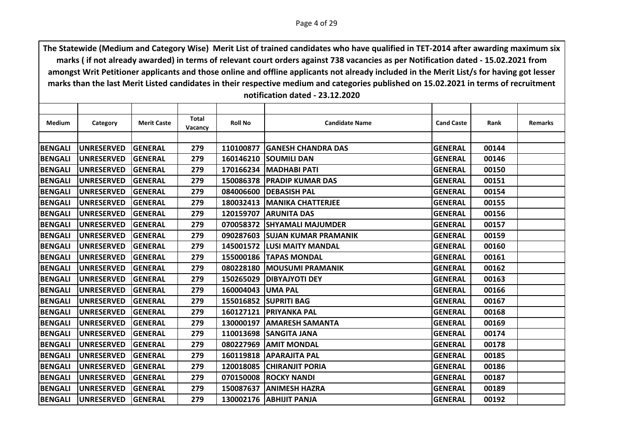| Medium         | Category          | <b>Merit Caste</b> | <b>Total</b><br>Vacancy | <b>Roll No</b> | <b>Candidate Name</b>          | <b>Cand Caste</b> | Rank  | <b>Remarks</b> |
|----------------|-------------------|--------------------|-------------------------|----------------|--------------------------------|-------------------|-------|----------------|
|                |                   |                    |                         |                |                                |                   |       |                |
| BENGALI        | <b>UNRESERVED</b> | <b>GENERAL</b>     | 279                     | 110100877      | <b>IGANESH CHANDRA DAS</b>     | <b>GENERAL</b>    | 00144 |                |
| <b>BENGALI</b> | <b>UNRESERVED</b> | <b>GENERAL</b>     | 279                     | 160146210      | <b>ISOUMILI DAN</b>            | <b>GENERAL</b>    | 00146 |                |
| <b>BENGALI</b> | <b>UNRESERVED</b> | GENERAL            | 279                     |                | 170166234 MADHABI PATI         | <b>GENERAL</b>    | 00150 |                |
| <b>BENGALI</b> | <b>UNRESERVED</b> | <b>GENERAL</b>     | 279                     |                | 150086378   PRADIP KUMAR DAS   | <b>GENERAL</b>    | 00151 |                |
| <b>BENGALI</b> | <b>UNRESERVED</b> | <b>GENERAL</b>     | 279                     | 084006600      | <b>DEBASISH PAL</b>            | <b>GENERAL</b>    | 00154 |                |
| <b>BENGALI</b> | <b>UNRESERVED</b> | <b>GENERAL</b>     | 279                     |                | 180032413   MANIKA CHATTERJEE  | <b>GENERAL</b>    | 00155 |                |
| <b>BENGALI</b> | <b>UNRESERVED</b> | <b>GENERAL</b>     | 279                     |                | <b>120159707 ARUNITA DAS</b>   | <b>GENERAL</b>    | 00156 |                |
| <b>BENGALI</b> | <b>UNRESERVED</b> | <b>GENERAL</b>     | 279                     | 070058372      | <b>ISHYAMALI MAJUMDER</b>      | <b>GENERAL</b>    | 00157 |                |
| <b>BENGALI</b> | <b>UNRESERVED</b> | <b>GENERAL</b>     | 279                     |                | 090287603 SUJAN KUMAR PRAMANIK | <b>GENERAL</b>    | 00159 |                |
| <b>BENGALI</b> | <b>UNRESERVED</b> | GENERAL            | 279                     |                | 145001572 LUSI MAITY MANDAL    | <b>GENERAL</b>    | 00160 |                |
| <b>BENGALI</b> | <b>UNRESERVED</b> | <b>GENERAL</b>     | 279                     | 155000186      | <b>TAPAS MONDAL</b>            | <b>GENERAL</b>    | 00161 |                |
| <b>BENGALI</b> | <b>UNRESERVED</b> | <b>GENERAL</b>     | 279                     |                | 080228180   MOUSUMI PRAMANIK   | <b>GENERAL</b>    | 00162 |                |
| <b>BENGALI</b> | <b>UNRESERVED</b> | <b>GENERAL</b>     | 279                     | 150265029      | <b>DIBYAJYOTI DEY</b>          | <b>GENERAL</b>    | 00163 |                |
| <b>BENGALI</b> | <b>UNRESERVED</b> | <b>GENERAL</b>     | 279                     | 160004043      | <b>UMA PAL</b>                 | <b>GENERAL</b>    | 00166 |                |
| <b>BENGALI</b> | <b>UNRESERVED</b> | <b>GENERAL</b>     | 279                     |                | 155016852 SUPRITI BAG          | <b>GENERAL</b>    | 00167 |                |
| <b>BENGALI</b> | <b>UNRESERVED</b> | <b>GENERAL</b>     | 279                     | 160127121      | <b>PRIYANKA PAL</b>            | <b>GENERAL</b>    | 00168 |                |
| <b>BENGALI</b> | <b>UNRESERVED</b> | <b>GENERAL</b>     | 279                     | 130000197      | <b>JAMARESH SAMANTA</b>        | <b>GENERAL</b>    | 00169 |                |
| <b>BENGALI</b> | <b>UNRESERVED</b> | <b>GENERAL</b>     | 279                     |                | 110013698 SANGITA JANA         | <b>GENERAL</b>    | 00174 |                |
| <b>BENGALI</b> | <b>UNRESERVED</b> | GENERAL            | 279                     | 080227969      | <b>AMIT MONDAL</b>             | <b>GENERAL</b>    | 00178 |                |
| <b>BENGALI</b> | <b>UNRESERVED</b> | <b>GENERAL</b>     | 279                     | 160119818      | <b>APARAJITA PAL</b>           | <b>GENERAL</b>    | 00185 |                |
| <b>BENGALI</b> | <b>UNRESERVED</b> | <b>GENERAL</b>     | 279                     |                | 120018085 CHIRANJIT PORIA      | <b>GENERAL</b>    | 00186 |                |
| <b>BENGALI</b> | <b>UNRESERVED</b> | <b>GENERAL</b>     | 279                     | 070150008      | <b>ROCKY NANDI</b>             | <b>GENERAL</b>    | 00187 |                |
| <b>BENGALI</b> | <b>UNRESERVED</b> | <b>GENERAL</b>     | 279                     | 150087637      | <b>JANIMESH HAZRA</b>          | <b>GENERAL</b>    | 00189 |                |
| <b>BENGALI</b> | <b>UNRESERVED</b> | <b>GENERAL</b>     | 279                     |                | 130002176 ABHIJIT PANJA        | <b>GENERAL</b>    | 00192 |                |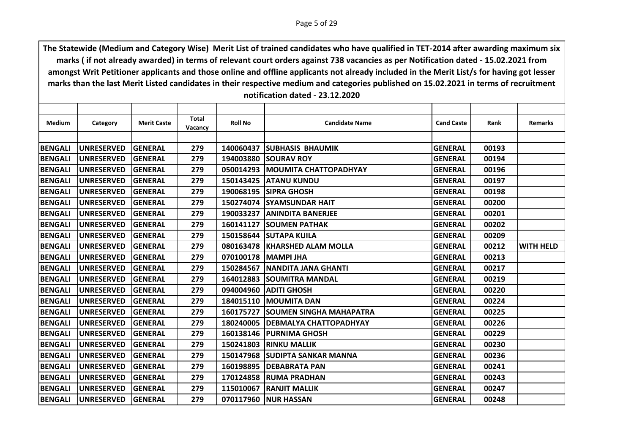| Category          | <b>Merit Caste</b>                                                               | Total                                                                                  | <b>Roll No</b>                      | <b>Candidate Name</b>  | <b>Cand Caste</b>                                                                                                                                                                                                                                                                                                                                                                                                                                                                                                                                                                                                                                                                        | Rank                                                                 | <b>Remarks</b>                   |
|-------------------|----------------------------------------------------------------------------------|----------------------------------------------------------------------------------------|-------------------------------------|------------------------|------------------------------------------------------------------------------------------------------------------------------------------------------------------------------------------------------------------------------------------------------------------------------------------------------------------------------------------------------------------------------------------------------------------------------------------------------------------------------------------------------------------------------------------------------------------------------------------------------------------------------------------------------------------------------------------|----------------------------------------------------------------------|----------------------------------|
|                   |                                                                                  |                                                                                        |                                     |                        |                                                                                                                                                                                                                                                                                                                                                                                                                                                                                                                                                                                                                                                                                          |                                                                      |                                  |
|                   |                                                                                  |                                                                                        |                                     |                        |                                                                                                                                                                                                                                                                                                                                                                                                                                                                                                                                                                                                                                                                                          |                                                                      |                                  |
|                   |                                                                                  |                                                                                        |                                     |                        |                                                                                                                                                                                                                                                                                                                                                                                                                                                                                                                                                                                                                                                                                          |                                                                      |                                  |
|                   |                                                                                  |                                                                                        |                                     |                        |                                                                                                                                                                                                                                                                                                                                                                                                                                                                                                                                                                                                                                                                                          |                                                                      |                                  |
|                   |                                                                                  |                                                                                        |                                     |                        |                                                                                                                                                                                                                                                                                                                                                                                                                                                                                                                                                                                                                                                                                          |                                                                      |                                  |
|                   |                                                                                  |                                                                                        |                                     |                        |                                                                                                                                                                                                                                                                                                                                                                                                                                                                                                                                                                                                                                                                                          |                                                                      |                                  |
| <b>UNRESERVED</b> | <b>GENERAL</b>                                                                   | 279                                                                                    |                                     |                        | <b>GENERAL</b>                                                                                                                                                                                                                                                                                                                                                                                                                                                                                                                                                                                                                                                                           | 00198                                                                |                                  |
| <b>UNRESERVED</b> |                                                                                  | 279                                                                                    |                                     |                        | <b>GENERAL</b>                                                                                                                                                                                                                                                                                                                                                                                                                                                                                                                                                                                                                                                                           | 00200                                                                |                                  |
| <b>UNRESERVED</b> | <b>GENERAL</b>                                                                   | 279                                                                                    | 190033237                           |                        | <b>GENERAL</b>                                                                                                                                                                                                                                                                                                                                                                                                                                                                                                                                                                                                                                                                           | 00201                                                                |                                  |
| <b>UNRESERVED</b> | <b>GENERAL</b>                                                                   | 279                                                                                    | 160141127                           |                        | <b>GENERAL</b>                                                                                                                                                                                                                                                                                                                                                                                                                                                                                                                                                                                                                                                                           | 00202                                                                |                                  |
| <b>UNRESERVED</b> | <b>GENERAL</b>                                                                   | 279                                                                                    |                                     |                        | <b>GENERAL</b>                                                                                                                                                                                                                                                                                                                                                                                                                                                                                                                                                                                                                                                                           | 00209                                                                |                                  |
| <b>UNRESERVED</b> | <b>GENERAL</b>                                                                   | 279                                                                                    |                                     |                        | <b>GENERAL</b>                                                                                                                                                                                                                                                                                                                                                                                                                                                                                                                                                                                                                                                                           | 00212                                                                | <b>WITH HELD</b>                 |
| <b>UNRESERVED</b> | <b>GENERAL</b>                                                                   | 279                                                                                    | 070100178                           |                        | <b>GENERAL</b>                                                                                                                                                                                                                                                                                                                                                                                                                                                                                                                                                                                                                                                                           | 00213                                                                |                                  |
| <b>UNRESERVED</b> | <b>GENERAL</b>                                                                   | 279                                                                                    |                                     |                        | <b>GENERAL</b>                                                                                                                                                                                                                                                                                                                                                                                                                                                                                                                                                                                                                                                                           | 00217                                                                |                                  |
| <b>UNRESERVED</b> | <b>GENERAL</b>                                                                   | 279                                                                                    | 164012883                           |                        | <b>GENERAL</b>                                                                                                                                                                                                                                                                                                                                                                                                                                                                                                                                                                                                                                                                           | 00219                                                                |                                  |
| <b>UNRESERVED</b> | <b>GENERAL</b>                                                                   | 279                                                                                    | 094004960                           |                        | <b>GENERAL</b>                                                                                                                                                                                                                                                                                                                                                                                                                                                                                                                                                                                                                                                                           | 00220                                                                |                                  |
| <b>UNRESERVED</b> | <b>GENERAL</b>                                                                   | 279                                                                                    |                                     |                        | <b>GENERAL</b>                                                                                                                                                                                                                                                                                                                                                                                                                                                                                                                                                                                                                                                                           | 00224                                                                |                                  |
| <b>UNRESERVED</b> | <b>GENERAL</b>                                                                   | 279                                                                                    | 160175727                           |                        | <b>GENERAL</b>                                                                                                                                                                                                                                                                                                                                                                                                                                                                                                                                                                                                                                                                           | 00225                                                                |                                  |
| <b>UNRESERVED</b> | <b>GENERAL</b>                                                                   | 279                                                                                    | 180240005                           |                        | <b>GENERAL</b>                                                                                                                                                                                                                                                                                                                                                                                                                                                                                                                                                                                                                                                                           | 00226                                                                |                                  |
| <b>UNRESERVED</b> | <b>GENERAL</b>                                                                   | 279                                                                                    |                                     |                        | <b>GENERAL</b>                                                                                                                                                                                                                                                                                                                                                                                                                                                                                                                                                                                                                                                                           | 00229                                                                |                                  |
| <b>UNRESERVED</b> | <b>GENERAL</b>                                                                   | 279                                                                                    | 150241803                           |                        | <b>GENERAL</b>                                                                                                                                                                                                                                                                                                                                                                                                                                                                                                                                                                                                                                                                           | 00230                                                                |                                  |
| <b>UNRESERVED</b> | <b>GENERAL</b>                                                                   | 279                                                                                    | 150147968                           |                        | <b>GENERAL</b>                                                                                                                                                                                                                                                                                                                                                                                                                                                                                                                                                                                                                                                                           | 00236                                                                |                                  |
| <b>UNRESERVED</b> | <b>GENERAL</b>                                                                   | 279                                                                                    |                                     |                        | <b>GENERAL</b>                                                                                                                                                                                                                                                                                                                                                                                                                                                                                                                                                                                                                                                                           | 00241                                                                |                                  |
| <b>UNRESERVED</b> | <b>GENERAL</b>                                                                   | 279                                                                                    | 170124858                           |                        | <b>GENERAL</b>                                                                                                                                                                                                                                                                                                                                                                                                                                                                                                                                                                                                                                                                           | 00243                                                                |                                  |
| <b>UNRESERVED</b> | <b>GENERAL</b>                                                                   | 279                                                                                    | 115010067                           |                        | <b>GENERAL</b>                                                                                                                                                                                                                                                                                                                                                                                                                                                                                                                                                                                                                                                                           | 00247                                                                |                                  |
| <b>UNRESERVED</b> | <b>GENERAL</b>                                                                   | 279                                                                                    |                                     |                        | <b>GENERAL</b>                                                                                                                                                                                                                                                                                                                                                                                                                                                                                                                                                                                                                                                                           | 00248                                                                |                                  |
|                   | <b>UNRESERVED</b><br><b>UNRESERVED</b><br><b>UNRESERVED</b><br><b>UNRESERVED</b> | <b>GENERAL</b><br><b>GENERAL</b><br><b>GENERAL</b><br><b>GENERAL</b><br><b>GENERAL</b> | Vacancy<br>279<br>279<br>279<br>279 | 140060437<br>194003880 | <b>ISUBHASIS BHAUMIK</b><br><b>SOURAV ROY</b><br>050014293 MOUMITA CHATTOPADHYAY<br><b>150143425 ATANU KUNDU</b><br>190068195   SIPRA GHOSH<br>150274074 SYAMSUNDAR HAIT<br><b>JANINDITA BANERJEE</b><br><b>ISOUMEN PATHAK</b><br>150158644 SUTAPA KUILA<br>080163478 KHARSHED ALAM MOLLA<br><b>IMAMPI JHA</b><br>150284567   NANDITA JANA GHANTI<br><b>SOUMITRA MANDAL</b><br><b>JADITI GHOSH</b><br>184015110 MOUMITA DAN<br><b>SOUMEN SINGHA MAHAPATRA</b><br><b>DEBMALYA CHATTOPADHYAY</b><br>160138146   PURNIMA GHOSH<br><b>RINKU MALLIK</b><br><b>ISUDIPTA SANKAR MANNA</b><br>160198895   DEBABRATA PAN<br><b>IRUMA PRADHAN</b><br><b>IRANJIT MALLIK</b><br>070117960 NUR HASSAN | <b>GENERAL</b><br><b>GENERAL</b><br><b>GENERAL</b><br><b>GENERAL</b> | 00193<br>00194<br>00196<br>00197 |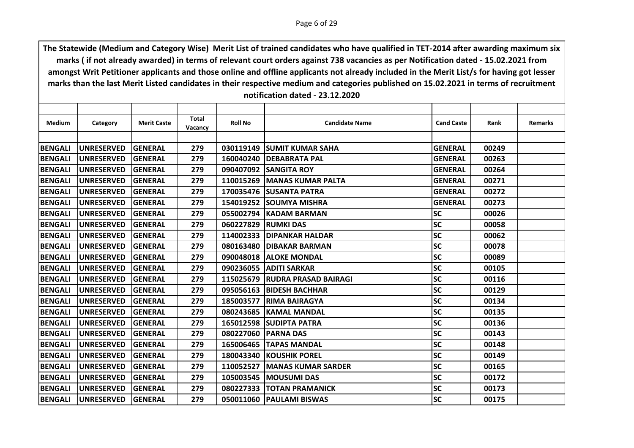| <b>Medium</b>  | Category          | <b>Merit Caste</b> | <b>Total</b><br>Vacancy | <b>Roll No</b> | <b>Candidate Name</b>         | <b>Cand Caste</b> | Rank  | <b>Remarks</b> |
|----------------|-------------------|--------------------|-------------------------|----------------|-------------------------------|-------------------|-------|----------------|
|                |                   |                    |                         |                |                               |                   |       |                |
| <b>BENGALI</b> | <b>UNRESERVED</b> | <b>GENERAL</b>     | 279                     |                | 030119149 SUMIT KUMAR SAHA    | <b>GENERAL</b>    | 00249 |                |
| <b>BENGALI</b> | <b>UNRESERVED</b> | <b>GENERAL</b>     | 279                     | 160040240      | <b>IDEBABRATA PAL</b>         | <b>GENERAL</b>    | 00263 |                |
| <b>BENGALI</b> | <b>UNRESERVED</b> | <b>GENERAL</b>     | 279                     | 090407092      | <b>SANGITA ROY</b>            | <b>GENERAL</b>    | 00264 |                |
| <b>BENGALI</b> | <b>UNRESERVED</b> | <b>GENERAL</b>     | 279                     |                | 110015269   MANAS KUMAR PALTA | <b>GENERAL</b>    | 00271 |                |
| <b>BENGALI</b> | <b>UNRESERVED</b> | <b>GENERAL</b>     | 279                     | 170035476      | <b>ISUSANTA PATRA</b>         | <b>GENERAL</b>    | 00272 |                |
| <b>BENGALI</b> | <b>UNRESERVED</b> | <b>GENERAL</b>     | 279                     |                | 154019252 SOUMYA MISHRA       | <b>GENERAL</b>    | 00273 |                |
| <b>BENGALI</b> | <b>UNRESERVED</b> | <b>GENERAL</b>     | 279                     | 055002794      | <b>KADAM BARMAN</b>           | <b>SC</b>         | 00026 |                |
| <b>BENGALI</b> | <b>UNRESERVED</b> | <b>GENERAL</b>     | 279                     | 060227829      | <b>RUMKI DAS</b>              | <b>SC</b>         | 00058 |                |
| <b>BENGALI</b> | <b>UNRESERVED</b> | <b>GENERAL</b>     | 279                     | 114002333      | <b>IDIPANKAR HALDAR</b>       | <b>SC</b>         | 00062 |                |
| <b>BENGALI</b> | <b>UNRESERVED</b> | <b>GENERAL</b>     | 279                     | 080163480      | <b>IDIBAKAR BARMAN</b>        | <b>SC</b>         | 00078 |                |
| <b>BENGALI</b> | <b>UNRESERVED</b> | <b>GENERAL</b>     | 279                     | 090048018      | <b>ALOKE MONDAL</b>           | <b>SC</b>         | 00089 |                |
| <b>BENGALI</b> | <b>UNRESERVED</b> | <b>GENERAL</b>     | 279                     |                | 090236055 ADITI SARKAR        | <b>SC</b>         | 00105 |                |
| <b>BENGALI</b> | <b>UNRESERVED</b> | <b>GENERAL</b>     | 279                     | 115025679      | <b>IRUDRA PRASAD BAIRAGI</b>  | <b>SC</b>         | 00116 |                |
| <b>BENGALI</b> | <b>UNRESERVED</b> | <b>GENERAL</b>     | 279                     | 095056163      | <b>BIDESH BACHHAR</b>         | <b>SC</b>         | 00129 |                |
| <b>BENGALI</b> | <b>UNRESERVED</b> | <b>GENERAL</b>     | 279                     | 185003577      | <b>IRIMA BAIRAGYA</b>         | <b>SC</b>         | 00134 |                |
| <b>BENGALI</b> | <b>UNRESERVED</b> | <b>GENERAL</b>     | 279                     | 080243685      | <b>KAMAL MANDAL</b>           | <b>SC</b>         | 00135 |                |
| <b>BENGALI</b> | <b>UNRESERVED</b> | <b>GENERAL</b>     | 279                     | 165012598      | <b>SUDIPTA PATRA</b>          | <b>SC</b>         | 00136 |                |
| <b>BENGALI</b> | <b>UNRESERVED</b> | <b>GENERAL</b>     | 279                     | 080227060      | <b>IPARNA DAS</b>             | <b>SC</b>         | 00143 |                |
| <b>BENGALI</b> | <b>UNRESERVED</b> | <b>GENERAL</b>     | 279                     | 165006465      | <b>TAPAS MANDAL</b>           | <b>SC</b>         | 00148 |                |
| <b>BENGALI</b> | <b>UNRESERVED</b> | <b>GENERAL</b>     | 279                     | 180043340      | <b>KOUSHIK POREL</b>          | <b>SC</b>         | 00149 |                |
| <b>BENGALI</b> | <b>UNRESERVED</b> | <b>GENERAL</b>     | 279                     | 110052527      | <b>IMANAS KUMAR SARDER</b>    | <b>SC</b>         | 00165 |                |
| <b>BENGALI</b> | <b>UNRESERVED</b> | <b>GENERAL</b>     | 279                     |                | 105003545 MOUSUMI DAS         | <b>SC</b>         | 00172 |                |
| <b>BENGALI</b> | <b>UNRESERVED</b> | <b>GENERAL</b>     | 279                     | 080227333      | <b>TOTAN PRAMANICK</b>        | <b>SC</b>         | 00173 |                |
| <b>BENGALI</b> | <b>UNRESERVED</b> | <b>GENERAL</b>     | 279                     |                | 050011060 PAULAMI BISWAS      | <b>SC</b>         | 00175 |                |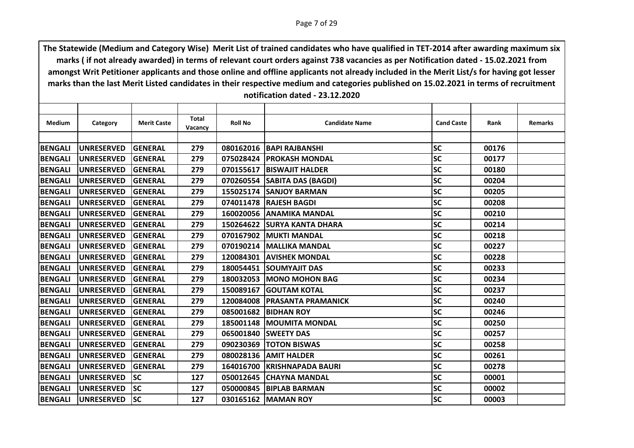| Medium         | Category          | <b>Merit Caste</b> | <b>Total</b><br>Vacancy | <b>Roll No</b> | <b>Candidate Name</b>          | <b>Cand Caste</b> | Rank  | <b>Remarks</b> |
|----------------|-------------------|--------------------|-------------------------|----------------|--------------------------------|-------------------|-------|----------------|
|                |                   |                    |                         |                |                                |                   |       |                |
| <b>BENGALI</b> | <b>UNRESERVED</b> | <b>GENERAL</b>     | 279                     |                | 080162016   BAPI RAJBANSHI     | <b>SC</b>         | 00176 |                |
| <b>BENGALI</b> | <b>UNRESERVED</b> | <b>GENERAL</b>     | 279                     |                | 075028424   PROKASH MONDAL     | <b>SC</b>         | 00177 |                |
| <b>BENGALI</b> | <b>UNRESERVED</b> | GENERAL            | 279                     |                | 070155617   BISWAJIT HALDER    | <b>SC</b>         | 00180 |                |
| <b>BENGALI</b> | <b>UNRESERVED</b> | <b>GENERAL</b>     | 279                     |                | 070260554 SABITA DAS (BAGDI)   | <b>SC</b>         | 00204 |                |
| <b>BENGALI</b> | <b>UNRESERVED</b> | GENERAL            | 279                     |                | 155025174 SANJOY BARMAN        | <b>SC</b>         | 00205 |                |
| <b>BENGALI</b> | <b>UNRESERVED</b> | <b>GENERAL</b>     | 279                     |                | 074011478 RAJESH BAGDI         | <b>SC</b>         | 00208 |                |
| <b>BENGALI</b> | <b>UNRESERVED</b> | <b>GENERAL</b>     | 279                     |                | 160020056 ANAMIKA MANDAL       | <b>SC</b>         | 00210 |                |
| <b>BENGALI</b> | <b>UNRESERVED</b> | GENERAL            | 279                     | 150264622      | <b>ISURYA KANTA DHARA</b>      | <b>SC</b>         | 00214 |                |
| <b>BENGALI</b> | <b>UNRESERVED</b> | <b>GENERAL</b>     | 279                     |                | 070167902 MUKTI MANDAL         | <b>SC</b>         | 00218 |                |
| <b>BENGALI</b> | <b>UNRESERVED</b> | GENERAL            | 279                     |                | 070190214 MALLIKA MANDAL       | <b>SC</b>         | 00227 |                |
| <b>BENGALI</b> | <b>UNRESERVED</b> | <b>GENERAL</b>     | 279                     |                | 120084301 AVISHEK MONDAL       | <b>SC</b>         | 00228 |                |
| <b>BENGALI</b> | <b>UNRESERVED</b> | <b>GENERAL</b>     | 279                     |                | 180054451 SOUMYAJIT DAS        | <b>SC</b>         | 00233 |                |
| <b>BENGALI</b> | <b>UNRESERVED</b> | GENERAL            | 279                     |                | 180032053 MONO MOHON BAG       | <b>SC</b>         | 00234 |                |
| <b>BENGALI</b> | <b>UNRESERVED</b> | <b>GENERAL</b>     | 279                     |                | 150089167 GOUTAM KOTAL         | <b>SC</b>         | 00237 |                |
| <b>BENGALI</b> | <b>UNRESERVED</b> | <b>GENERAL</b>     | 279                     |                | 120084008   PRASANTA PRAMANICK | <b>SC</b>         | 00240 |                |
| <b>BENGALI</b> | <b>UNRESERVED</b> | GENERAL            | 279                     |                | 085001682 BIDHAN ROY           | <b>SC</b>         | 00246 |                |
| <b>BENGALI</b> | <b>UNRESERVED</b> | GENERAL            | 279                     |                | 185001148 MOUMITA MONDAL       | <b>SC</b>         | 00250 |                |
| <b>BENGALI</b> | <b>UNRESERVED</b> | <b>GENERAL</b>     | 279                     |                | 065001840 SWEETY DAS           | <b>SC</b>         | 00257 |                |
| <b>BENGALI</b> | <b>UNRESERVED</b> | <b>GENERAL</b>     | 279                     |                | 090230369 TOTON BISWAS         | <b>SC</b>         | 00258 |                |
| <b>BENGALI</b> | <b>UNRESERVED</b> | <b>GENERAL</b>     | 279                     |                | 080028136 AMIT HALDER          | <b>SC</b>         | 00261 |                |
| <b>BENGALI</b> | <b>UNRESERVED</b> | <b>GENERAL</b>     | 279                     |                | 164016700 KRISHNAPADA BAURI    | <b>SC</b>         | 00278 |                |
| <b>BENGALI</b> | <b>UNRESERVED</b> | <b>SC</b>          | 127                     |                | 050012645 CHAYNA MANDAL        | <b>SC</b>         | 00001 |                |
| <b>BENGALI</b> | <b>UNRESERVED</b> | lsc                | 127                     |                | 050000845 BIPLAB BARMAN        | <b>SC</b>         | 00002 |                |
| <b>BENGALI</b> | <b>UNRESERVED</b> | <b>ISC</b>         | 127                     |                | 030165162 MAMAN ROY            | <b>SC</b>         | 00003 |                |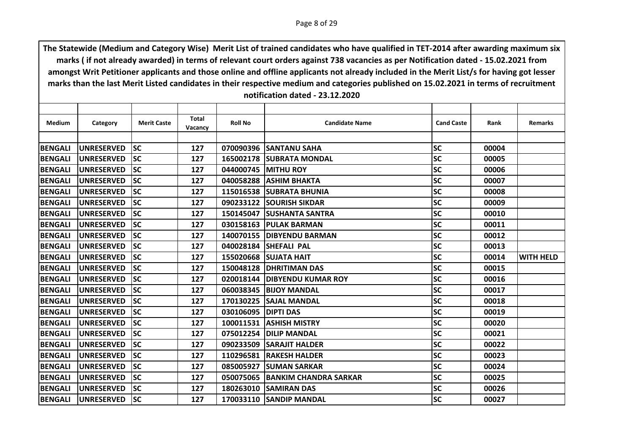| <b>Medium</b>  | Category           | <b>Merit Caste</b> | Total<br>Vacancy | <b>Roll No</b>      | <b>Candidate Name</b>        | <b>Cand Caste</b> | Rank  | <b>Remarks</b>   |
|----------------|--------------------|--------------------|------------------|---------------------|------------------------------|-------------------|-------|------------------|
|                |                    |                    |                  |                     |                              |                   |       |                  |
| <b>BENGALI</b> | UNRESERVED         | <b>SC</b>          | 127              |                     | 070090396 SANTANU SAHA       | <b>SC</b>         | 00004 |                  |
| <b>BENGALI</b> | <b>UNRESERVED</b>  | <b>SC</b>          | 127              | 165002178           | <b>ISUBRATA MONDAL</b>       | <b>SC</b>         | 00005 |                  |
| <b>BENGALI</b> | <b>UNRESERVED</b>  | <b>SC</b>          | 127              |                     | 044000745 MITHU ROY          | <b>SC</b>         | 00006 |                  |
| <b>BENGALI</b> | <b>UNRESERVED</b>  | <b>SC</b>          | 127              | 040058288           | <b>JASHIM BHAKTA</b>         | <b>SC</b>         | 00007 |                  |
| <b>BENGALI</b> | <b>UNRESERVED</b>  | <b>SC</b>          | 127              | 115016538           | <b>ISUBRATA BHUNIA</b>       | <b>SC</b>         | 00008 |                  |
| <b>BENGALI</b> | <b>UNRESERVED</b>  | <b>SC</b>          | 127              |                     | 090233122 SOURISH SIKDAR     | <b>SC</b>         | 00009 |                  |
| <b>BENGALI</b> | <b>UNRESERVED</b>  | <b>SC</b>          | 127              |                     | 150145047 SUSHANTA SANTRA    | <b>SC</b>         | 00010 |                  |
| <b>BENGALI</b> | <b>UNRESERVED</b>  | <b>SC</b>          | 127              | 030158163           | <b>IPULAK BARMAN</b>         | <b>SC</b>         | 00011 |                  |
| <b>BENGALI</b> | <b>UNRESERVED</b>  | <b>SC</b>          | 127              |                     | 140070155 DIBYENDU BARMAN    | <b>SC</b>         | 00012 |                  |
| <b>BENGALI</b> | <b>UNRESERVED</b>  | <b>SC</b>          | 127              |                     | 040028184 SHEFALI PAL        | <b>SC</b>         | 00013 |                  |
| <b>BENGALI</b> | <b>UNRESERVED</b>  | <b>SC</b>          | 127              | 155020668           | <b>SUJATA HAIT</b>           | <b>SC</b>         | 00014 | <b>WITH HELD</b> |
| <b>BENGALI</b> | <b>UNRESERVED</b>  | <b>SC</b>          | 127              |                     | 150048128 DHRITIMAN DAS      | <b>SC</b>         | 00015 |                  |
| <b>BENGALI</b> | <b>UNRESERVED</b>  | <b>SC</b>          | 127              | 020018144           | <b>DIBYENDU KUMAR ROY</b>    | <b>SC</b>         | 00016 |                  |
| <b>BENGALI</b> | <b>UNRESERVED</b>  | <b>SC</b>          | 127              | 060038345           | <b>BIJOY MANDAL</b>          | <b>SC</b>         | 00017 |                  |
| <b>BENGALI</b> | <b>UNRESERVED</b>  | <b>SC</b>          | 127              |                     | 170130225 SAJAL MANDAL       | <b>SC</b>         | 00018 |                  |
| <b>BENGALI</b> | <b>UNRESERVED</b>  | <b>SC</b>          | 127              | 030106095 DIPTI DAS |                              | <b>SC</b>         | 00019 |                  |
| <b>BENGALI</b> | <b>UNRESERVED</b>  | <b>SC</b>          | 127              | 100011531           | <b>ASHISH MISTRY</b>         | <b>SC</b>         | 00020 |                  |
| <b>BENGALI</b> | <b>IUNRESERVED</b> | lsc                | 127              |                     | 075012254 DILIP MANDAL       | <b>SC</b>         | 00021 |                  |
| <b>BENGALI</b> | <b>UNRESERVED</b>  | <b>SC</b>          | 127              | 090233509           | <b>ISARAJIT HALDER</b>       | <b>SC</b>         | 00022 |                  |
| <b>BENGALI</b> | <b>UNRESERVED</b>  | <b>SC</b>          | 127              | 110296581           | <b>RAKESH HALDER</b>         | <b>SC</b>         | 00023 |                  |
| <b>BENGALI</b> | <b>UNRESERVED</b>  | <b>SC</b>          | 127              |                     | 085005927 SUMAN SARKAR       | <b>SC</b>         | 00024 |                  |
| <b>BENGALI</b> | <b>UNRESERVED</b>  | <b>SC</b>          | 127              | 050075065           | <b>BANKIM CHANDRA SARKAR</b> | <b>SC</b>         | 00025 |                  |
| <b>BENGALI</b> | <b>UNRESERVED</b>  | <b>SC</b>          | 127              | 180263010           | <b>ISAMIRAN DAS</b>          | <b>SC</b>         | 00026 |                  |
| <b>BENGALI</b> | <b>UNRESERVED</b>  | <b>SC</b>          | 127              |                     | 170033110 SANDIP MANDAL      | <b>SC</b>         | 00027 |                  |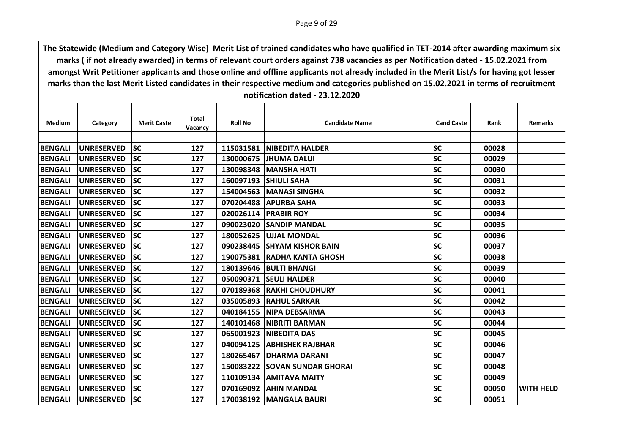| <b>Medium</b>  | Category          | <b>Merit Caste</b> | Total   | <b>Roll No</b> | <b>Candidate Name</b>         | <b>Cand Caste</b> | Rank  | <b>Remarks</b>   |
|----------------|-------------------|--------------------|---------|----------------|-------------------------------|-------------------|-------|------------------|
|                |                   |                    | Vacancy |                |                               |                   |       |                  |
| <b>BENGALI</b> | <b>UNRESERVED</b> | <b>SC</b>          | 127     |                | 115031581   NIBEDITA HALDER   | <b>SC</b>         | 00028 |                  |
| <b>BENGALI</b> | <b>UNRESERVED</b> | <b>SC</b>          | 127     | 130000675      | <b>UHUMA DALUI</b>            | <b>SC</b>         | 00029 |                  |
| <b>BENGALI</b> | <b>UNRESERVED</b> | <b>SC</b>          | 127     |                | 130098348 MANSHA HATI         | <b>SC</b>         | 00030 |                  |
| <b>BENGALI</b> | <b>UNRESERVED</b> | <b>SC</b>          | 127     |                | 160097193 SHIULI SAHA         | <b>SC</b>         | 00031 |                  |
| <b>BENGALI</b> | <b>UNRESERVED</b> | <b>SC</b>          | 127     | 154004563      | <b>IMANASI SINGHA</b>         | <b>SC</b>         | 00032 |                  |
| <b>BENGALI</b> | <b>UNRESERVED</b> | <b>SC</b>          | 127     |                | 070204488 APURBA SAHA         | <b>SC</b>         | 00033 |                  |
| <b>BENGALI</b> | <b>UNRESERVED</b> | <b>SC</b>          | 127     |                | 020026114 PRABIR ROY          | <b>SC</b>         | 00034 |                  |
| <b>BENGALI</b> | <b>UNRESERVED</b> | <b>SC</b>          | 127     | 090023020      | <b>ISANDIP MANDAL</b>         | <b>SC</b>         | 00035 |                  |
| <b>BENGALI</b> | UNRESERVED        | <b>SC</b>          | 127     |                | 180052625 UJJAL MONDAL        | <b>SC</b>         | 00036 |                  |
| <b>BENGALI</b> | <b>UNRESERVED</b> | <b>SC</b>          | 127     |                | 090238445 SHYAM KISHOR BAIN   | <b>SC</b>         | 00037 |                  |
| <b>BENGALI</b> | <b>UNRESERVED</b> | <b>SC</b>          | 127     | 190075381      | <b>IRADHA KANTA GHOSH</b>     | <b>SC</b>         | 00038 |                  |
| <b>BENGALI</b> | UNRESERVED        | <b>SC</b>          | 127     |                | 180139646 BULTI BHANGI        | <b>SC</b>         | 00039 |                  |
| <b>BENGALI</b> | <b>UNRESERVED</b> | <b>SC</b>          | 127     | 050090371      | <b>ISEULI HALDER</b>          | <b>SC</b>         | 00040 |                  |
| <b>BENGALI</b> | <b>UNRESERVED</b> | <b>SC</b>          | 127     | 070189368      | <b>IRAKHI CHOUDHURY</b>       | <b>SC</b>         | 00041 |                  |
| <b>BENGALI</b> | <b>UNRESERVED</b> | <b>SC</b>          | 127     |                | 035005893 RAHUL SARKAR        | <b>SC</b>         | 00042 |                  |
| <b>BENGALI</b> | <b>UNRESERVED</b> | <b>SC</b>          | 127     |                | 040184155 NIPA DEBSARMA       | <b>SC</b>         | 00043 |                  |
| <b>BENGALI</b> | <b>UNRESERVED</b> | <b>SC</b>          | 127     | 140101468      | <b>INIBRITI BARMAN</b>        | <b>SC</b>         | 00044 |                  |
| <b>BENGALI</b> | <b>UNRESERVED</b> | lsc                | 127     |                | 065001923   NIBEDITA DAS      | <b>SC</b>         | 00045 |                  |
| <b>BENGALI</b> | <b>UNRESERVED</b> | <b>SC</b>          | 127     | 040094125      | <b>JABHISHEK RAJBHAR</b>      | <b>SC</b>         | 00046 |                  |
| <b>BENGALI</b> | <b>UNRESERVED</b> | <b>SC</b>          | 127     | 180265467      | <b>IDHARMA DARANI</b>         | <b>SC</b>         | 00047 |                  |
| <b>BENGALI</b> | <b>UNRESERVED</b> | <b>SC</b>          | 127     |                | 150083222 SOVAN SUNDAR GHORAI | <b>SC</b>         | 00048 |                  |
| <b>BENGALI</b> | <b>UNRESERVED</b> | <b>SC</b>          | 127     | 110109134      | <b>JAMITAVA MAITY</b>         | <b>SC</b>         | 00049 |                  |
| <b>BENGALI</b> | <b>UNRESERVED</b> | <b>SC</b>          | 127     | 070169092      | <b>JAHIN MANDAL</b>           | <b>SC</b>         | 00050 | <b>WITH HELD</b> |
| <b>BENGALI</b> | <b>UNRESERVED</b> | <b>SC</b>          | 127     |                | 170038192   MANGALA BAURI     | <b>SC</b>         | 00051 |                  |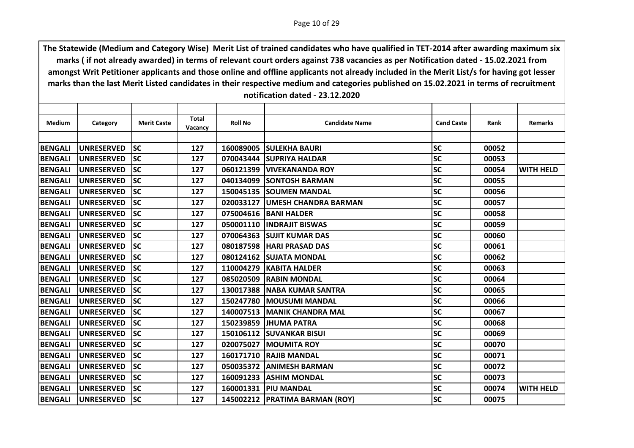| <b>Medium</b>  | Category          | <b>Merit Caste</b> | <b>Total</b><br>Vacancy | <b>Roll No</b> | <b>Candidate Name</b>            | <b>Cand Caste</b> | Rank  | <b>Remarks</b>   |
|----------------|-------------------|--------------------|-------------------------|----------------|----------------------------------|-------------------|-------|------------------|
|                |                   |                    |                         |                |                                  |                   |       |                  |
| <b>BENGALI</b> | <b>UNRESERVED</b> | <b>SC</b>          | 127                     |                | 160089005 SULEKHA BAURI          | <b>SC</b>         | 00052 |                  |
| <b>BENGALI</b> | <b>UNRESERVED</b> | <b>SC</b>          | 127                     | 070043444      | <b>ISUPRIYA HALDAR</b>           | <b>SC</b>         | 00053 |                  |
| <b>BENGALI</b> | <b>UNRESERVED</b> | lsc                | 127                     |                | 060121399 VIVEKANANDA ROY        | <b>SC</b>         | 00054 | <b>WITH HELD</b> |
| <b>BENGALI</b> | <b>UNRESERVED</b> | <b>SC</b>          | 127                     |                | 040134099 SONTOSH BARMAN         | <b>SC</b>         | 00055 |                  |
| <b>BENGALI</b> | <b>UNRESERVED</b> | <b>SC</b>          | 127                     |                | 150045135 SOUMEN MANDAL          | <b>SC</b>         | 00056 |                  |
| <b>BENGALI</b> | <b>UNRESERVED</b> | lsc                | 127                     |                | 020033127 UMESH CHANDRA BARMAN   | <b>SC</b>         | 00057 |                  |
| <b>BENGALI</b> | <b>UNRESERVED</b> | <b>SC</b>          | 127                     |                | 075004616   BANI HALDER          | <b>SC</b>         | 00058 |                  |
| <b>BENGALI</b> | <b>UNRESERVED</b> | <b>SC</b>          | 127                     | 050001110      | <b>IINDRAJIT BISWAS</b>          | <b>SC</b>         | 00059 |                  |
| <b>BENGALI</b> | <b>UNRESERVED</b> | <b>SC</b>          | 127                     |                | 070064363 SUJIT KUMAR DAS        | <b>SC</b>         | 00060 |                  |
| <b>BENGALI</b> | <b>UNRESERVED</b> | <b>SC</b>          | 127                     |                | 080187598  HARI PRASAD DAS       | <b>SC</b>         | 00061 |                  |
| <b>BENGALI</b> | <b>UNRESERVED</b> | <b>SC</b>          | 127                     | 080124162      | <b>ISUJATA MONDAL</b>            | <b>SC</b>         | 00062 |                  |
| <b>BENGALI</b> | <b>UNRESERVED</b> | <b>SC</b>          | 127                     |                | 110004279 KABITA HALDER          | <b>SC</b>         | 00063 |                  |
| <b>BENGALI</b> | <b>UNRESERVED</b> | <b>SC</b>          | 127                     |                | 085020509 RABIN MONDAL           | <b>SC</b>         | 00064 |                  |
| <b>BENGALI</b> | <b>UNRESERVED</b> | <b>SC</b>          | 127                     | 130017388      | <b>INABA KUMAR SANTRA</b>        | <b>SC</b>         | 00065 |                  |
| <b>BENGALI</b> | <b>UNRESERVED</b> | <b>SC</b>          | 127                     |                | 150247780   MOUSUMI MANDAL       | <b>SC</b>         | 00066 |                  |
| <b>BENGALI</b> | <b>UNRESERVED</b> | <b>SC</b>          | 127                     | 140007513      | <b>MANIK CHANDRA MAL</b>         | <b>SC</b>         | 00067 |                  |
| <b>BENGALI</b> | <b>UNRESERVED</b> | <b>SC</b>          | 127                     | 150239859      | <b>IJHUMA PATRA</b>              | <b>SC</b>         | 00068 |                  |
| <b>BENGALI</b> | <b>UNRESERVED</b> | lsc                | 127                     |                | 150106112 SUVANKAR BISUI         | <b>SC</b>         | 00069 |                  |
| <b>BENGALI</b> | <b>UNRESERVED</b> | <b>SC</b>          | 127                     | 020075027      | <b>MOUMITA ROY</b>               | <b>SC</b>         | 00070 |                  |
| <b>BENGALI</b> | <b>UNRESERVED</b> | <b>SC</b>          | 127                     | 160171710      | <b>RAJIB MANDAL</b>              | <b>SC</b>         | 00071 |                  |
| <b>BENGALI</b> | <b>UNRESERVED</b> | <b>SC</b>          | 127                     |                | 050035372 ANIMESH BARMAN         | <b>SC</b>         | 00072 |                  |
| <b>BENGALI</b> | <b>UNRESERVED</b> | <b>SC</b>          | 127                     | 160091233      | <b>ASHIM MONDAL</b>              | <b>SC</b>         | 00073 |                  |
| <b>BENGALI</b> | <b>UNRESERVED</b> | <b>SC</b>          | 127                     |                | 160001331   PIU MANDAL           | <b>SC</b>         | 00074 | <b>WITH HELD</b> |
| <b>BENGALI</b> | <b>UNRESERVED</b> | lsc                | 127                     |                | 145002212   PRATIMA BARMAN (ROY) | <b>SC</b>         | 00075 |                  |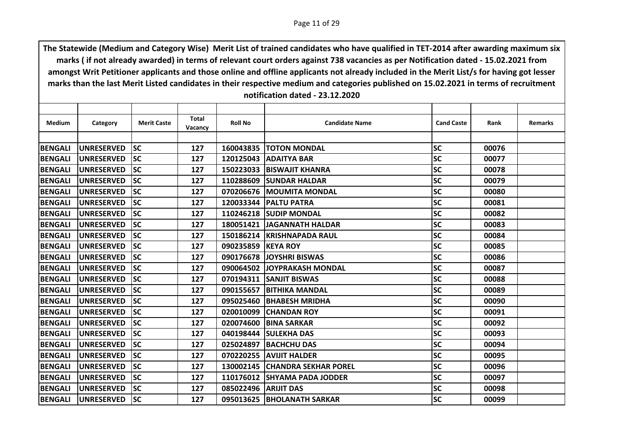| Category          | <b>Merit Caste</b> | <b>Total</b><br><b>Vacancy</b> | <b>Roll No</b> | <b>Candidate Name</b>   | <b>Cand Caste</b>                                                                                                                                                                                                                                                                                                                                                                                                                                                                                                                                                                                   | Rank  | <b>Remarks</b> |
|-------------------|--------------------|--------------------------------|----------------|-------------------------|-----------------------------------------------------------------------------------------------------------------------------------------------------------------------------------------------------------------------------------------------------------------------------------------------------------------------------------------------------------------------------------------------------------------------------------------------------------------------------------------------------------------------------------------------------------------------------------------------------|-------|----------------|
|                   |                    |                                |                |                         |                                                                                                                                                                                                                                                                                                                                                                                                                                                                                                                                                                                                     |       |                |
| <b>UNRESERVED</b> | <b>SC</b>          | 127                            |                |                         | <b>SC</b>                                                                                                                                                                                                                                                                                                                                                                                                                                                                                                                                                                                           | 00076 |                |
| <b>UNRESERVED</b> | <b>SC</b>          | 127                            | 120125043      |                         | <b>SC</b>                                                                                                                                                                                                                                                                                                                                                                                                                                                                                                                                                                                           | 00077 |                |
| <b>UNRESERVED</b> | <b>SC</b>          | 127                            |                |                         | <b>SC</b>                                                                                                                                                                                                                                                                                                                                                                                                                                                                                                                                                                                           | 00078 |                |
| <b>UNRESERVED</b> | <b>SC</b>          | 127                            |                |                         | <b>SC</b>                                                                                                                                                                                                                                                                                                                                                                                                                                                                                                                                                                                           | 00079 |                |
| <b>UNRESERVED</b> | <b>SC</b>          | 127                            | 070206676      |                         | <b>SC</b>                                                                                                                                                                                                                                                                                                                                                                                                                                                                                                                                                                                           | 00080 |                |
| <b>UNRESERVED</b> | <b>SC</b>          | 127                            |                |                         | <b>SC</b>                                                                                                                                                                                                                                                                                                                                                                                                                                                                                                                                                                                           | 00081 |                |
| <b>UNRESERVED</b> | <b>SC</b>          | 127                            |                |                         | <b>SC</b>                                                                                                                                                                                                                                                                                                                                                                                                                                                                                                                                                                                           | 00082 |                |
| <b>UNRESERVED</b> | <b>SC</b>          | 127                            | 180051421      | <b>JAGANNATH HALDAR</b> | <b>SC</b>                                                                                                                                                                                                                                                                                                                                                                                                                                                                                                                                                                                           | 00083 |                |
| <b>UNRESERVED</b> | <b>SC</b>          | 127                            |                |                         | <b>SC</b>                                                                                                                                                                                                                                                                                                                                                                                                                                                                                                                                                                                           | 00084 |                |
| <b>UNRESERVED</b> | <b>SC</b>          | 127                            |                |                         | <b>SC</b>                                                                                                                                                                                                                                                                                                                                                                                                                                                                                                                                                                                           | 00085 |                |
| <b>UNRESERVED</b> | <b>SC</b>          | 127                            | 090176678      | <b>JOYSHRI BISWAS</b>   | <b>SC</b>                                                                                                                                                                                                                                                                                                                                                                                                                                                                                                                                                                                           | 00086 |                |
| <b>UNRESERVED</b> | <b>SC</b>          | 127                            |                |                         | <b>SC</b>                                                                                                                                                                                                                                                                                                                                                                                                                                                                                                                                                                                           | 00087 |                |
| <b>UNRESERVED</b> | <b>SC</b>          | 127                            | 070194311      |                         | <b>SC</b>                                                                                                                                                                                                                                                                                                                                                                                                                                                                                                                                                                                           | 00088 |                |
| <b>UNRESERVED</b> | <b>SC</b>          | 127                            | 090155657      |                         | <b>SC</b>                                                                                                                                                                                                                                                                                                                                                                                                                                                                                                                                                                                           | 00089 |                |
| <b>UNRESERVED</b> | <b>SC</b>          | 127                            | 095025460      |                         | <b>SC</b>                                                                                                                                                                                                                                                                                                                                                                                                                                                                                                                                                                                           | 00090 |                |
| <b>UNRESERVED</b> | <b>SC</b>          | 127                            | 020010099      |                         | <b>SC</b>                                                                                                                                                                                                                                                                                                                                                                                                                                                                                                                                                                                           | 00091 |                |
| <b>UNRESERVED</b> | <b>SC</b>          | 127                            | 020074600      |                         | <b>SC</b>                                                                                                                                                                                                                                                                                                                                                                                                                                                                                                                                                                                           | 00092 |                |
| <b>UNRESERVED</b> | <b>SC</b>          | 127                            |                |                         | <b>SC</b>                                                                                                                                                                                                                                                                                                                                                                                                                                                                                                                                                                                           | 00093 |                |
| <b>UNRESERVED</b> | <b>SC</b>          | 127                            | 025024897      |                         | <b>SC</b>                                                                                                                                                                                                                                                                                                                                                                                                                                                                                                                                                                                           | 00094 |                |
| <b>UNRESERVED</b> | <b>SC</b>          | 127                            |                |                         | <b>SC</b>                                                                                                                                                                                                                                                                                                                                                                                                                                                                                                                                                                                           | 00095 |                |
| <b>UNRESERVED</b> | <b>SC</b>          | 127                            |                |                         | <b>SC</b>                                                                                                                                                                                                                                                                                                                                                                                                                                                                                                                                                                                           | 00096 |                |
| <b>UNRESERVED</b> | <b>SC</b>          | 127                            | 110176012      |                         | <b>SC</b>                                                                                                                                                                                                                                                                                                                                                                                                                                                                                                                                                                                           | 00097 |                |
| <b>UNRESERVED</b> | <b>SC</b>          | 127                            |                |                         | <b>SC</b>                                                                                                                                                                                                                                                                                                                                                                                                                                                                                                                                                                                           | 00098 |                |
| <b>UNRESERVED</b> | <b>SC</b>          | 127                            |                |                         | <b>SC</b>                                                                                                                                                                                                                                                                                                                                                                                                                                                                                                                                                                                           | 00099 |                |
|                   |                    |                                |                |                         | 160043835   TOTON MONDAL<br><b>JADAITYA BAR</b><br>150223033 BISWAJIT KHANRA<br>110288609 SUNDAR HALDAR<br><b>IMOUMITA MONDAL</b><br>120033344   PALTU PATRA<br>110246218 SUDIP MONDAL<br>150186214 KRISHNAPADA RAUL<br>090235859 KEYA ROY<br>090064502 JJOYPRAKASH MONDAL<br><b>SANJIT BISWAS</b><br><b>BITHIKA MANDAL</b><br><b>IBHABESH MRIDHA</b><br><b>CHANDAN ROY</b><br><b>IBINA SARKAR</b><br>040198444 SULEKHA DAS<br><b>BACHCHU DAS</b><br>070220255 AVIJIT HALDER<br>130002145 CHANDRA SEKHAR POREL<br><b>SHYAMA PADA JODDER</b><br>085022496   ARIJIT DAS<br>095013625 BHOLANATH SARKAR |       |                |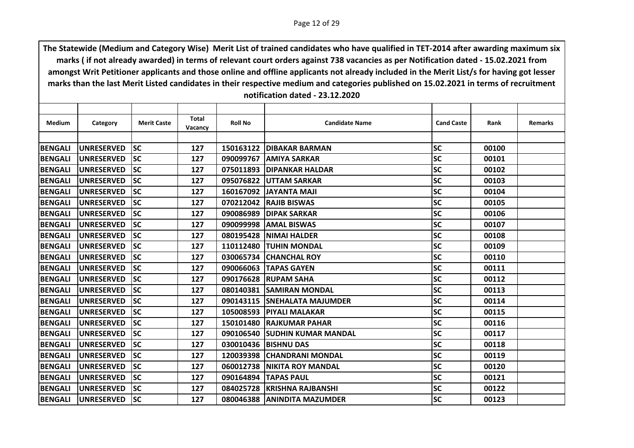| Medium         | Category          | <b>Merit Caste</b> | <b>Total</b><br>Vacancy | <b>Roll No</b> | <b>Candidate Name</b>         | <b>Cand Caste</b> | Rank  | <b>Remarks</b> |
|----------------|-------------------|--------------------|-------------------------|----------------|-------------------------------|-------------------|-------|----------------|
|                |                   |                    |                         |                |                               |                   |       |                |
| <b>BENGALI</b> | <b>UNRESERVED</b> | <b>SC</b>          | 127                     |                | 150163122   DIBAKAR BARMAN    | lsc               | 00100 |                |
| <b>BENGALI</b> | <b>UNRESERVED</b> | <b>SC</b>          | 127                     | 090099767      | <b>JAMIYA SARKAR</b>          | <b>SC</b>         | 00101 |                |
| <b>BENGALI</b> | <b>UNRESERVED</b> | <b>SC</b>          | 127                     |                | 075011893 DIPANKAR HALDAR     | <b>SC</b>         | 00102 |                |
| <b>BENGALI</b> | <b>UNRESERVED</b> | <b>SC</b>          | 127                     |                | 095076822 UTTAM SARKAR        | <b>SC</b>         | 00103 |                |
| <b>BENGALI</b> | <b>UNRESERVED</b> | <b>SC</b>          | 127                     | 160167092      | ILAM ATUAYALI                 | <b>SC</b>         | 00104 |                |
| <b>BENGALI</b> | <b>UNRESERVED</b> | <b>SC</b>          | 127                     |                | 070212042 RAJIB BISWAS        | <b>SC</b>         | 00105 |                |
| <b>BENGALI</b> | <b>UNRESERVED</b> | <b>SC</b>          | 127                     |                | 090086989 DIPAK SARKAR        | <b>SC</b>         | 00106 |                |
| <b>BENGALI</b> | <b>UNRESERVED</b> | <b>SC</b>          | 127                     | 090099998      | <b>JAMAL BISWAS</b>           | <b>SC</b>         | 00107 |                |
| <b>BENGALI</b> | <b>UNRESERVED</b> | <b>SC</b>          | 127                     |                | 080195428  NIMAI HALDER       | <b>SC</b>         | 00108 |                |
| <b>BENGALI</b> | <b>UNRESERVED</b> | <b>SC</b>          | 127                     | 110112480      | <b>TUHIN MONDAL</b>           | <b>SC</b>         | 00109 |                |
| <b>BENGALI</b> | <b>UNRESERVED</b> | <b>SC</b>          | 127                     | 030065734      | <b>ICHANCHAL ROY</b>          | <b>SC</b>         | 00110 |                |
| <b>BENGALI</b> | <b>UNRESERVED</b> | <b>SC</b>          | 127                     |                | 090066063 TAPAS GAYEN         | <b>SC</b>         | 00111 |                |
| <b>BENGALI</b> | <b>UNRESERVED</b> | <b>SC</b>          | 127                     | 090176628      | <b>RUPAM SAHA</b>             | <b>SC</b>         | 00112 |                |
| <b>BENGALI</b> | <b>UNRESERVED</b> | <b>SC</b>          | 127                     | 080140381      | <b>ISAMIRAN MONDAL</b>        | <b>SC</b>         | 00113 |                |
| <b>BENGALI</b> | <b>UNRESERVED</b> | <b>SC</b>          | 127                     |                | 090143115 ISNEHALATA MAJUMDER | <b>SC</b>         | 00114 |                |
| <b>BENGALI</b> | <b>UNRESERVED</b> | <b>SC</b>          | 127                     |                | 105008593 PIYALI MALAKAR      | <b>SC</b>         | 00115 |                |
| <b>BENGALI</b> | <b>UNRESERVED</b> | <b>SC</b>          | 127                     |                | 150101480 RAJKUMAR PAHAR      | <b>SC</b>         | 00116 |                |
| <b>BENGALI</b> | <b>UNRESERVED</b> | <b>SC</b>          | 127                     |                | 090106540 SUDHIN KUMAR MANDAL | <b>SC</b>         | 00117 |                |
| <b>BENGALI</b> | <b>UNRESERVED</b> | <b>SC</b>          | 127                     |                | 030010436  BISHNU DAS         | <b>SC</b>         | 00118 |                |
| <b>BENGALI</b> | <b>UNRESERVED</b> | <b>SC</b>          | 127                     |                | 120039398 CHANDRANI MONDAL    | <b>SC</b>         | 00119 |                |
| <b>BENGALI</b> | <b>UNRESERVED</b> | <b>SC</b>          | 127                     |                | 060012738   NIKITA ROY MANDAL | <b>SC</b>         | 00120 |                |
| <b>BENGALI</b> | <b>UNRESERVED</b> | <b>SC</b>          | 127                     | 090164894      | <b>TAPAS PAUL</b>             | lsc               | 00121 |                |
| <b>BENGALI</b> | <b>UNRESERVED</b> | <b>SC</b>          | 127                     |                | 084025728 KRISHNA RAJBANSHI   | <b>SC</b>         | 00122 |                |
| <b>BENGALI</b> | <b>UNRESERVED</b> | <b>SC</b>          | 127                     |                | 080046388 ANINDITA MAZUMDER   | <b>SC</b>         | 00123 |                |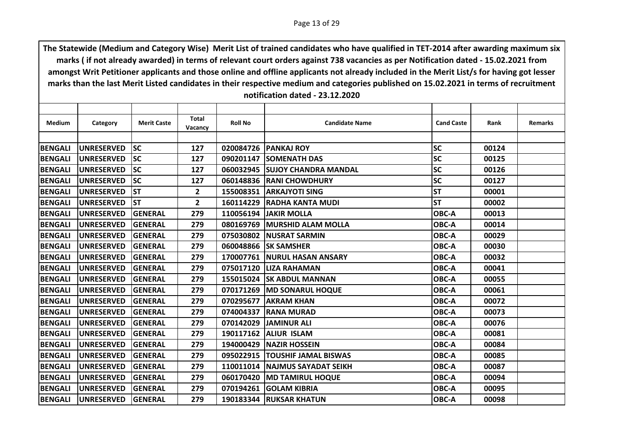| <b>Medium</b>  | Category          | <b>Merit Caste</b> | <b>Total</b><br>Vacancy | <b>Roll No</b> | <b>Candidate Name</b>          | <b>Cand Caste</b> | Rank  | <b>Remarks</b> |
|----------------|-------------------|--------------------|-------------------------|----------------|--------------------------------|-------------------|-------|----------------|
|                |                   |                    |                         |                |                                |                   |       |                |
| <b>BENGALI</b> | <b>UNRESERVED</b> | <b>SC</b>          | 127                     |                | 020084726 PANKAJ ROY           | <b>SC</b>         | 00124 |                |
| <b>BENGALI</b> | <b>UNRESERVED</b> | lsc                | 127                     |                | 090201147 SOMENATH DAS         | <b>SC</b>         | 00125 |                |
| <b>BENGALI</b> | <b>UNRESERVED</b> | <b>SC</b>          | 127                     |                | 060032945 SUJOY CHANDRA MANDAL | <b>SC</b>         | 00126 |                |
| <b>BENGALI</b> | <b>UNRESERVED</b> | lsc                | 127                     |                | 060148836 RANI CHOWDHURY       | <b>SC</b>         | 00127 |                |
| <b>BENGALI</b> | <b>UNRESERVED</b> | <b>ST</b>          | $\mathbf{2}$            | 155008351      | <b>IARKAJYOTI SING</b>         | <b>ST</b>         | 00001 |                |
| <b>BENGALI</b> | <b>UNRESERVED</b> | lst                | $\overline{2}$          |                | 160114229 RADHA KANTA MUDI     | <b>ST</b>         | 00002 |                |
| <b>BENGALI</b> | <b>UNRESERVED</b> | <b>GENERAL</b>     | 279                     |                | <b>110056194 JAKIR MOLLA</b>   | OBC-A             | 00013 |                |
| <b>BENGALI</b> | <b>UNRESERVED</b> | <b>GENERAL</b>     | 279                     | 080169769      | <b>IMURSHID ALAM MOLLA</b>     | OBC-A             | 00014 |                |
| <b>BENGALI</b> | <b>UNRESERVED</b> | <b>GENERAL</b>     | 279                     |                | 075030802 NUSRAT SARMIN        | OBC-A             | 00029 |                |
| <b>BENGALI</b> | <b>UNRESERVED</b> | <b>GENERAL</b>     | 279                     |                | 060048866 SK SAMSHER           | OBC-A             | 00030 |                |
| <b>BENGALI</b> | <b>UNRESERVED</b> | <b>GENERAL</b>     | 279                     | 170007761      | <b>INURUL HASAN ANSARY</b>     | OBC-A             | 00032 |                |
| <b>BENGALI</b> | <b>UNRESERVED</b> | <b>GENERAL</b>     | 279                     |                | 075017120 LIZA RAHAMAN         | OBC-A             | 00041 |                |
| <b>BENGALI</b> | <b>UNRESERVED</b> | <b>GENERAL</b>     | 279                     |                | 155015024 SK ABDUL MANNAN      | OBC-A             | 00055 |                |
| <b>BENGALI</b> | <b>UNRESERVED</b> | <b>GENERAL</b>     | 279                     | 070171269      | <b>MD SONARUL HOQUE</b>        | OBC-A             | 00061 |                |
| <b>BENGALI</b> | <b>UNRESERVED</b> | <b>GENERAL</b>     | 279                     |                | 070295677 AKRAM KHAN           | OBC-A             | 00072 |                |
| <b>BENGALI</b> | <b>UNRESERVED</b> | GENERAL            | 279                     | 074004337      | <b>RANA MURAD</b>              | OBC-A             | 00073 |                |
| <b>BENGALI</b> | <b>UNRESERVED</b> | <b>GENERAL</b>     | 279                     | 070142029      | <b>JAMINUR ALI</b>             | OBC-A             | 00076 |                |
| <b>BENGALI</b> | <b>UNRESERVED</b> | <b>GENERAL</b>     | 279                     |                | 190117162 ALIUR ISLAM          | OBC-A             | 00081 |                |
| <b>BENGALI</b> | <b>UNRESERVED</b> | <b>GENERAL</b>     | 279                     | 194000429      | <b>NAZIR HOSSEIN</b>           | OBC-A             | 00084 |                |
| <b>BENGALI</b> | <b>UNRESERVED</b> | <b>GENERAL</b>     | 279                     | 095022915      | <b>TOUSHIF JAMAL BISWAS</b>    | OBC-A             | 00085 |                |
| <b>BENGALI</b> | <b>UNRESERVED</b> | GENERAL            | 279                     |                | 110011014 NAJMUS SAYADAT SEIKH | OBC-A             | 00087 |                |
| <b>BENGALI</b> | <b>UNRESERVED</b> | <b>GENERAL</b>     | 279                     | 060170420      | <b>MD TAMIRUL HOQUE</b>        | OBC-A             | 00094 |                |
| <b>BENGALI</b> | <b>UNRESERVED</b> | <b>GENERAL</b>     | 279                     | 070194261      | <b>GOLAM KIBRIA</b>            | OBC-A             | 00095 |                |
| <b>BENGALI</b> | <b>UNRESERVED</b> | GENERAL            | 279                     |                | 190183344 RUKSAR KHATUN        | OBC-A             | 00098 |                |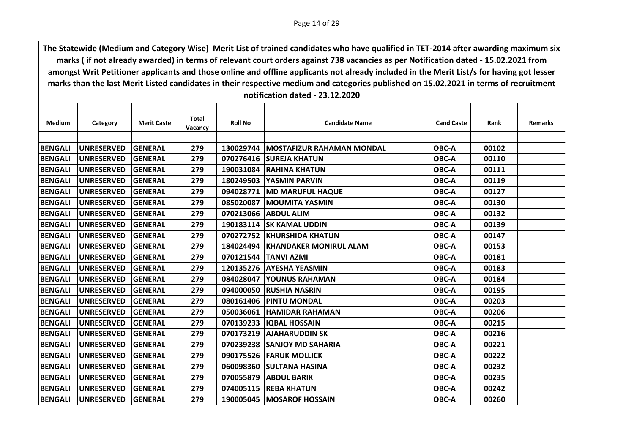| Category          | <b>Merit Caste</b>                                                               | <b>Total</b>                                                         | <b>Roll No</b>                      | <b>Candidate Name</b> | <b>Cand Caste</b>                                                                                                                                                                                                                                                                                                                                                                                                                                                                                                                                                                                                                                    | Rank                             | <b>Remarks</b>                   |
|-------------------|----------------------------------------------------------------------------------|----------------------------------------------------------------------|-------------------------------------|-----------------------|------------------------------------------------------------------------------------------------------------------------------------------------------------------------------------------------------------------------------------------------------------------------------------------------------------------------------------------------------------------------------------------------------------------------------------------------------------------------------------------------------------------------------------------------------------------------------------------------------------------------------------------------------|----------------------------------|----------------------------------|
|                   |                                                                                  |                                                                      |                                     |                       |                                                                                                                                                                                                                                                                                                                                                                                                                                                                                                                                                                                                                                                      |                                  |                                  |
|                   |                                                                                  |                                                                      |                                     |                       |                                                                                                                                                                                                                                                                                                                                                                                                                                                                                                                                                                                                                                                      |                                  |                                  |
|                   |                                                                                  |                                                                      |                                     |                       |                                                                                                                                                                                                                                                                                                                                                                                                                                                                                                                                                                                                                                                      |                                  |                                  |
|                   |                                                                                  |                                                                      |                                     |                       |                                                                                                                                                                                                                                                                                                                                                                                                                                                                                                                                                                                                                                                      |                                  |                                  |
|                   |                                                                                  |                                                                      |                                     |                       |                                                                                                                                                                                                                                                                                                                                                                                                                                                                                                                                                                                                                                                      |                                  |                                  |
|                   |                                                                                  |                                                                      |                                     |                       |                                                                                                                                                                                                                                                                                                                                                                                                                                                                                                                                                                                                                                                      |                                  |                                  |
| <b>UNRESERVED</b> | <b>GENERAL</b>                                                                   | 279                                                                  | 094028771                           |                       | OBC-A                                                                                                                                                                                                                                                                                                                                                                                                                                                                                                                                                                                                                                                | 00127                            |                                  |
| <b>UNRESERVED</b> | <b>GENERAL</b>                                                                   | 279                                                                  |                                     |                       | OBC-A                                                                                                                                                                                                                                                                                                                                                                                                                                                                                                                                                                                                                                                | 00130                            |                                  |
| <b>UNRESERVED</b> | <b>GENERAL</b>                                                                   | 279                                                                  | 070213066                           |                       | OBC-A                                                                                                                                                                                                                                                                                                                                                                                                                                                                                                                                                                                                                                                | 00132                            |                                  |
| <b>UNRESERVED</b> | <b>GENERAL</b>                                                                   | 279                                                                  | 190183114                           |                       | OBC-A                                                                                                                                                                                                                                                                                                                                                                                                                                                                                                                                                                                                                                                | 00139                            |                                  |
| <b>UNRESERVED</b> | GENERAL                                                                          | 279                                                                  |                                     |                       | OBC-A                                                                                                                                                                                                                                                                                                                                                                                                                                                                                                                                                                                                                                                | 00147                            |                                  |
| <b>UNRESERVED</b> | <b>GENERAL</b>                                                                   | 279                                                                  | 184024494                           |                       | OBC-A                                                                                                                                                                                                                                                                                                                                                                                                                                                                                                                                                                                                                                                | 00153                            |                                  |
| <b>UNRESERVED</b> | <b>GENERAL</b>                                                                   | 279                                                                  | 070121544                           | <b>TANVI AZMI</b>     | OBC-A                                                                                                                                                                                                                                                                                                                                                                                                                                                                                                                                                                                                                                                | 00181                            |                                  |
| <b>UNRESERVED</b> | <b>GENERAL</b>                                                                   | 279                                                                  |                                     |                       | OBC-A                                                                                                                                                                                                                                                                                                                                                                                                                                                                                                                                                                                                                                                | 00183                            |                                  |
| <b>UNRESERVED</b> | GENERAL                                                                          | 279                                                                  | 084028047                           |                       | OBC-A                                                                                                                                                                                                                                                                                                                                                                                                                                                                                                                                                                                                                                                | 00184                            |                                  |
| <b>UNRESERVED</b> | <b>GENERAL</b>                                                                   | 279                                                                  | 094000050                           |                       | OBC-A                                                                                                                                                                                                                                                                                                                                                                                                                                                                                                                                                                                                                                                | 00195                            |                                  |
| <b>UNRESERVED</b> | GENERAL                                                                          | 279                                                                  |                                     |                       | OBC-A                                                                                                                                                                                                                                                                                                                                                                                                                                                                                                                                                                                                                                                | 00203                            |                                  |
| <b>UNRESERVED</b> | GENERAL                                                                          | 279                                                                  | 050036061                           |                       | OBC-A                                                                                                                                                                                                                                                                                                                                                                                                                                                                                                                                                                                                                                                | 00206                            |                                  |
| <b>UNRESERVED</b> | GENERAL                                                                          | 279                                                                  |                                     |                       | OBC-A                                                                                                                                                                                                                                                                                                                                                                                                                                                                                                                                                                                                                                                | 00215                            |                                  |
| <b>UNRESERVED</b> | <b>GENERAL</b>                                                                   | 279                                                                  |                                     |                       | OBC-A                                                                                                                                                                                                                                                                                                                                                                                                                                                                                                                                                                                                                                                | 00216                            |                                  |
| <b>UNRESERVED</b> | GENERAL                                                                          | 279                                                                  | 070239238                           |                       | OBC-A                                                                                                                                                                                                                                                                                                                                                                                                                                                                                                                                                                                                                                                | 00221                            |                                  |
| <b>UNRESERVED</b> | <b>GENERAL</b>                                                                   | 279                                                                  |                                     |                       | OBC-A                                                                                                                                                                                                                                                                                                                                                                                                                                                                                                                                                                                                                                                | 00222                            |                                  |
| <b>UNRESERVED</b> | <b>GENERAL</b>                                                                   | 279                                                                  | 060098360                           |                       | OBC-A                                                                                                                                                                                                                                                                                                                                                                                                                                                                                                                                                                                                                                                | 00232                            |                                  |
| <b>UNRESERVED</b> | GENERAL                                                                          | 279                                                                  | 070055879                           |                       | OBC-A                                                                                                                                                                                                                                                                                                                                                                                                                                                                                                                                                                                                                                                | 00235                            |                                  |
| <b>UNRESERVED</b> | <b>GENERAL</b>                                                                   | 279                                                                  |                                     |                       | OBC-A                                                                                                                                                                                                                                                                                                                                                                                                                                                                                                                                                                                                                                                | 00242                            |                                  |
| <b>UNRESERVED</b> | <b>GENERAL</b>                                                                   | 279                                                                  |                                     |                       | OBC-A                                                                                                                                                                                                                                                                                                                                                                                                                                                                                                                                                                                                                                                | 00260                            |                                  |
|                   | <b>UNRESERVED</b><br><b>UNRESERVED</b><br><b>UNRESERVED</b><br><b>UNRESERVED</b> | <b>GENERAL</b><br><b>GENERAL</b><br><b>GENERAL</b><br><b>GENERAL</b> | Vacancy<br>279<br>279<br>279<br>279 |                       | 130029744 MOSTAFIZUR RAHAMAN MONDAL<br>070276416 SUREJA KHATUN<br>190031084 RAHINA KHATUN<br>180249503 YASMIN PARVIN<br><b>MD MARUFUL HAQUE</b><br>085020087   MOUMITA YASMIN<br><b>ABDUL ALIM</b><br><b>ISK KAMAL UDDIN</b><br>070272752 KHURSHIDA KHATUN<br><b>KHANDAKER MONIRUL ALAM</b><br>120135276 AYESHA YEASMIN<br><b>YOUNUS RAHAMAN</b><br><b>RUSHIA NASRIN</b><br>080161406   PINTU MONDAL<br><b>HAMIDAR RAHAMAN</b><br>070139233 IQBAL HOSSAIN<br>070173219 AJAHARUDDIN SK<br><b>SANJOY MD SAHARIA</b><br>090175526 FARUK MOLLICK<br><b>ISULTANA HASINA</b><br><b>ABDUL BARIK</b><br>074005115 REBA KHATUN<br>190005045   MOSAROF HOSSAIN | OBC-A<br>OBC-A<br>OBC-A<br>OBC-A | 00102<br>00110<br>00111<br>00119 |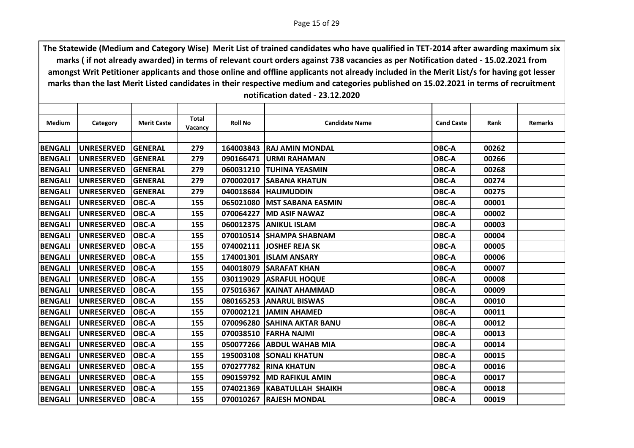| Medium         | Category          | <b>Merit Caste</b> | Total   | <b>Roll No</b> | <b>Candidate Name</b>         | <b>Cand Caste</b> | Rank  | <b>Remarks</b> |
|----------------|-------------------|--------------------|---------|----------------|-------------------------------|-------------------|-------|----------------|
|                |                   |                    | Vacancy |                |                               |                   |       |                |
| <b>BENGALI</b> | <b>UNRESERVED</b> | <b>GENERAL</b>     | 279     |                | 164003843 RAJ AMIN MONDAL     | OBC-A             | 00262 |                |
| <b>BENGALI</b> | <b>UNRESERVED</b> | <b>GENERAL</b>     | 279     | 090166471      | <b>IURMI RAHAMAN</b>          | OBC-A             | 00266 |                |
| <b>BENGALI</b> | <b>UNRESERVED</b> | <b>GENERAL</b>     | 279     |                | 060031210 TUHINA YEASMIN      | OBC-A             | 00268 |                |
| <b>BENGALI</b> | <b>UNRESERVED</b> | <b>GENERAL</b>     | 279     | 070002017      | <b>SABANA KHATUN</b>          | OBC-A             | 00274 |                |
| <b>BENGALI</b> | <b>UNRESERVED</b> | <b>GENERAL</b>     | 279     | 040018684      | <b>HALIMUDDIN</b>             | OBC-A             | 00275 |                |
| <b>BENGALI</b> | <b>UNRESERVED</b> | <b>OBC-A</b>       | 155     |                | 065021080   MST SABANA EASMIN | <b>OBC-A</b>      | 00001 |                |
| <b>BENGALI</b> | <b>UNRESERVED</b> | <b>OBC-A</b>       | 155     | 070064227      | <b>MD ASIF NAWAZ</b>          | OBC-A             | 00002 |                |
| <b>BENGALI</b> | <b>UNRESERVED</b> | <b>OBC-A</b>       | 155     | 060012375      | <b>JANIKUL ISLAM</b>          | OBC-A             | 00003 |                |
| <b>BENGALI</b> | <b>UNRESERVED</b> | <b>OBC-A</b>       | 155     |                | 070010514 SHAMPA SHABNAM      | <b>OBC-A</b>      | 00004 |                |
| <b>BENGALI</b> | <b>UNRESERVED</b> | <b>OBC-A</b>       | 155     |                | 074002111 JOSHEF REJA SK      | OBC-A             | 00005 |                |
|                |                   |                    |         |                |                               |                   |       |                |
| <b>BENGALI</b> | <b>UNRESERVED</b> | <b>OBC-A</b>       | 155     | 174001301      | <b>ISLAM ANSARY</b>           | OBC-A             | 00006 |                |
| <b>BENGALI</b> | <b>UNRESERVED</b> | <b>OBC-A</b>       | 155     |                | 040018079 SARAFAT KHAN        | OBC-A             | 00007 |                |
| <b>BENGALI</b> | <b>UNRESERVED</b> | <b>OBC-A</b>       | 155     |                | 030119029 ASRAFUL HOQUE       | OBC-A             | 00008 |                |
| <b>BENGALI</b> | <b>UNRESERVED</b> | <b>OBC-A</b>       | 155     | 075016367      | <b>KAINAT AHAMMAD</b>         | OBC-A             | 00009 |                |
| <b>BENGALI</b> | <b>UNRESERVED</b> | <b>OBC-A</b>       | 155     |                | 080165253 ANARUL BISWAS       | OBC-A             | 00010 |                |
| <b>BENGALI</b> | <b>UNRESERVED</b> | <b>OBC-A</b>       | 155     | 070002121      | <b>JAMIN AHAMED</b>           | OBC-A             | 00011 |                |
| <b>BENGALI</b> | <b>UNRESERVED</b> | <b>OBC-A</b>       | 155     | 070096280      | <b>SAHINA AKTAR BANU</b>      | OBC-A             | 00012 |                |
| <b>BENGALI</b> | <b>UNRESERVED</b> | <b>OBC-A</b>       | 155     | 070038510      | <b>FARHA NAJMI</b>            | <b>OBC-A</b>      | 00013 |                |
| <b>BENGALI</b> | <b>UNRESERVED</b> | <b>OBC-A</b>       | 155     | 050077266      | <b>ABDUL WAHAB MIA</b>        | OBC-A             | 00014 |                |
| <b>BENGALI</b> | <b>UNRESERVED</b> | <b>OBC-A</b>       | 155     | 195003108      | <b>ISONALI KHATUN</b>         | OBC-A             | 00015 |                |
| <b>BENGALI</b> | <b>UNRESERVED</b> | <b>OBC-A</b>       | 155     |                | 070277782 RINA KHATUN         | <b>OBC-A</b>      | 00016 |                |
| <b>BENGALI</b> | <b>UNRESERVED</b> | <b>OBC-A</b>       | 155     | 090159792      | <b>MD RAFIKUL AMIN</b>        | OBC-A             | 00017 |                |
| <b>BENGALI</b> | <b>UNRESERVED</b> | <b>OBC-A</b>       | 155     | 074021369      | <b>KABATULLAH SHAIKH</b>      | OBC-A             | 00018 |                |
| <b>BENGALI</b> | UNRESERVED        | <b>OBC-A</b>       | 155     |                | 070010267 RAJESH MONDAL       | <b>OBC-A</b>      | 00019 |                |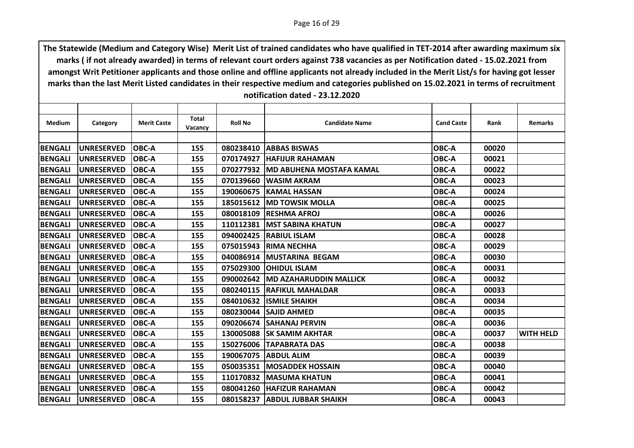| Medium         | Category          | <b>Merit Caste</b> | Total<br>Vacancy | <b>Roll No</b> | <b>Candidate Name</b>            | <b>Cand Caste</b> | Rank  | <b>Remarks</b>   |
|----------------|-------------------|--------------------|------------------|----------------|----------------------------------|-------------------|-------|------------------|
|                |                   |                    |                  |                |                                  |                   |       |                  |
| <b>BENGALI</b> | <b>UNRESERVED</b> | <b>OBC-A</b>       | 155              |                | 080238410 ABBAS BISWAS           | <b>OBC-A</b>      | 00020 |                  |
| <b>BENGALI</b> | <b>UNRESERVED</b> | <b>OBC-A</b>       | 155              | 070174927      | <b>IHAFIJUR RAHAMAN</b>          | OBC-A             | 00021 |                  |
| <b>BENGALI</b> | <b>UNRESERVED</b> | <b>OBC-A</b>       | 155              | 070277932      | <b>IMD ABUHENA MOSTAFA KAMAL</b> | OBC-A             | 00022 |                  |
| <b>BENGALI</b> | <b>UNRESERVED</b> | <b>OBC-A</b>       | 155              | 070139660      | <b>IWASIM AKRAM</b>              | OBC-A             | 00023 |                  |
| <b>BENGALI</b> | <b>UNRESERVED</b> | <b>OBC-A</b>       | 155              | 190060675      | <b>IKAMAL HASSAN</b>             | OBC-A             | 00024 |                  |
| <b>BENGALI</b> | <b>UNRESERVED</b> | <b>OBC-A</b>       | 155              |                | 185015612 MD TOWSIK MOLLA        | <b>OBC-A</b>      | 00025 |                  |
| <b>BENGALI</b> | <b>UNRESERVED</b> | <b>OBC-A</b>       | 155              |                | 080018109 RESHMA AFROJ           | OBC-A             | 00026 |                  |
| <b>BENGALI</b> | <b>UNRESERVED</b> | OBC-A              | 155              | 110112381      | <b>IMST SABINA KHATUN</b>        | OBC-A             | 00027 |                  |
| <b>BENGALI</b> | <b>UNRESERVED</b> | IOBC-A             | 155              |                | 094002425 RABIUL ISLAM           | OBC-A             | 00028 |                  |
| <b>BENGALI</b> | <b>UNRESERVED</b> | <b>OBC-A</b>       | 155              |                | 075015943 RIMA NECHHA            | OBC-A             | 00029 |                  |
| <b>BENGALI</b> | <b>UNRESERVED</b> | <b>OBC-A</b>       | 155              | 040086914      | <b>IMUSTARINA BEGAM</b>          | OBC-A             | 00030 |                  |
| <b>BENGALI</b> | <b>UNRESERVED</b> | <b>OBC-A</b>       | 155              |                | 075029300 OHIDUL ISLAM           | OBC-A             | 00031 |                  |
| <b>BENGALI</b> | <b>UNRESERVED</b> | <b>OBC-A</b>       | 155              | 090002642      | <b>MD AZAHARUDDIN MALLICK</b>    | OBC-A             | 00032 |                  |
| <b>BENGALI</b> | <b>UNRESERVED</b> | <b>OBC-A</b>       | 155              | 080240115      | <b>IRAFIKUL MAHALDAR</b>         | OBC-A             | 00033 |                  |
| <b>BENGALI</b> | <b>UNRESERVED</b> | <b>OBC-A</b>       | 155              |                | 084010632 ISMILE SHAIKH          | OBC-A             | 00034 |                  |
| <b>BENGALI</b> | <b>UNRESERVED</b> | <b>OBC-A</b>       | 155              | 080230044      | <b>ISAJID AHMED</b>              | OBC-A             | 00035 |                  |
| <b>BENGALI</b> | <b>UNRESERVED</b> | <b>OBC-A</b>       | 155              | 090206674      | <b>ISAHANAJ PERVIN</b>           | OBC-A             | 00036 |                  |
| <b>BENGALI</b> | <b>UNRESERVED</b> | <b>OBC-A</b>       | 155              |                | 130005088 SK SAMIM AKHTAR        | <b>OBC-A</b>      | 00037 | <b>WITH HELD</b> |
| <b>BENGALI</b> | <b>UNRESERVED</b> | <b>OBC-A</b>       | 155              | 150276006      | <b>TAPABRATA DAS</b>             | <b>OBC-A</b>      | 00038 |                  |
| <b>BENGALI</b> | <b>UNRESERVED</b> | <b>OBC-A</b>       | 155              |                | 190067075   ABDUL ALIM           | OBC-A             | 00039 |                  |
| <b>BENGALI</b> | <b>UNRESERVED</b> | <b>OBC-A</b>       | 155              |                | 050035351 MOSADDEK HOSSAIN       | OBC-A             | 00040 |                  |
| <b>BENGALI</b> | <b>UNRESERVED</b> | <b>OBC-A</b>       | 155              | 110170832      | <b>IMASUMA KHATUN</b>            | OBC-A             | 00041 |                  |
| <b>BENGALI</b> | <b>UNRESERVED</b> | <b>OBC-A</b>       | 155              |                | 080041260 HAFIZUR RAHAMAN        | OBC-A             | 00042 |                  |
| <b>BENGALI</b> | <b>UNRESERVED</b> | <b>OBC-A</b>       | 155              |                | 080158237   ABDUL JUBBAR SHAIKH  | <b>OBC-A</b>      | 00043 |                  |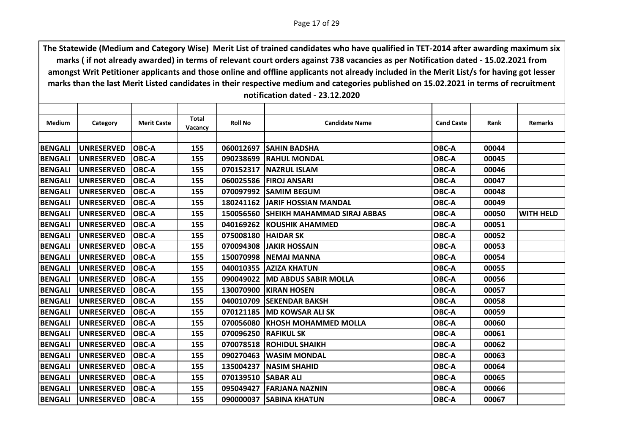| Medium         | Category          | <b>Merit Caste</b> | Total   | <b>Roll No</b> | <b>Candidate Name</b>              | <b>Cand Caste</b> | Rank  | <b>Remarks</b>   |
|----------------|-------------------|--------------------|---------|----------------|------------------------------------|-------------------|-------|------------------|
|                |                   |                    | Vacancy |                |                                    |                   |       |                  |
| <b>BENGALI</b> | <b>UNRESERVED</b> | <b>OBC-A</b>       | 155     | 060012697      | <b>SAHIN BADSHA</b>                | <b>OBC-A</b>      | 00044 |                  |
|                |                   |                    |         |                |                                    |                   |       |                  |
| <b>BENGALI</b> | <b>UNRESERVED</b> | <b>OBC-A</b>       | 155     | 090238699      | <b>IRAHUL MONDAL</b>               | OBC-A             | 00045 |                  |
| <b>BENGALI</b> | <b>UNRESERVED</b> | <b>OBC-A</b>       | 155     | 070152317      | <b>INAZRUL ISLAM</b>               | OBC-A             | 00046 |                  |
| <b>BENGALI</b> | <b>UNRESERVED</b> | <b>OBC-A</b>       | 155     | 060025586      | <b>FIROJ ANSARI</b>                | OBC-A             | 00047 |                  |
| <b>BENGALI</b> | <b>UNRESERVED</b> | <b>OBC-A</b>       | 155     | 070097992      | <b>ISAMIM BEGUM</b>                | OBC-A             | 00048 |                  |
| <b>BENGALI</b> | <b>UNRESERVED</b> | <b>OBC-A</b>       | 155     | 180241162      | <b>JJARIF HOSSIAN MANDAL</b>       | OBC-A             | 00049 |                  |
| <b>BENGALI</b> | <b>UNRESERVED</b> | <b>OBC-A</b>       | 155     | 150056560      | <b>SHEIKH MAHAMMAD SIRAJ ABBAS</b> | OBC-A             | 00050 | <b>WITH HELD</b> |
| <b>BENGALI</b> | <b>UNRESERVED</b> | <b>OBC-A</b>       | 155     | 040169262      | <b>IKOUSHIK AHAMMED</b>            | OBC-A             | 00051 |                  |
| <b>BENGALI</b> | <b>UNRESERVED</b> | <b>OBC-A</b>       | 155     | 075008180      | <b>HAIDAR SK</b>                   | OBC-A             | 00052 |                  |
| <b>BENGALI</b> | <b>UNRESERVED</b> | <b>OBC-A</b>       | 155     | 070094308      | <b>JAKIR HOSSAIN</b>               | OBC-A             | 00053 |                  |
| <b>BENGALI</b> | <b>UNRESERVED</b> | <b>OBC-A</b>       | 155     | 150070998      | <b>INEMAI MANNA</b>                | OBC-A             | 00054 |                  |
| <b>BENGALI</b> | <b>UNRESERVED</b> | <b>OBC-A</b>       | 155     |                | 040010355 AZIZA KHATUN             | OBC-A             | 00055 |                  |
| <b>BENGALI</b> | <b>UNRESERVED</b> | <b>OBC-A</b>       | 155     | 090049022      | <b>MD ABDUS SABIR MOLLA</b>        | <b>OBC-A</b>      | 00056 |                  |
| <b>BENGALI</b> | <b>UNRESERVED</b> | <b>OBC-A</b>       | 155     | 130070900      | <b>IKIRAN HOSEN</b>                | OBC-A             | 00057 |                  |
| <b>BENGALI</b> | <b>UNRESERVED</b> | <b>OBC-A</b>       | 155     |                | 040010709 SEKENDAR BAKSH           | OBC-A             | 00058 |                  |
| <b>BENGALI</b> | <b>UNRESERVED</b> | <b>OBC-A</b>       | 155     |                | 070121185 MD KOWSAR ALI SK         | <b>OBC-A</b>      | 00059 |                  |
| <b>BENGALI</b> | <b>UNRESERVED</b> | <b>OBC-A</b>       | 155     | 070056080      | <b>IKHOSH MOHAMMED MOLLA</b>       | OBC-A             | 00060 |                  |
| <b>BENGALI</b> | <b>UNRESERVED</b> | <b>OBC-A</b>       | 155     | 070096250      | <b>IRAFIKUL SK</b>                 | OBC-A             | 00061 |                  |
| <b>BENGALI</b> | <b>UNRESERVED</b> | <b>OBC-A</b>       | 155     | 070078518      | <b>IROHIDUL SHAIKH</b>             | <b>OBC-A</b>      | 00062 |                  |
| <b>BENGALI</b> | <b>UNRESERVED</b> | <b>OBC-A</b>       | 155     | 090270463      | <b>IWASIM MONDAL</b>               | OBC-A             | 00063 |                  |
| <b>BENGALI</b> | <b>UNRESERVED</b> | <b>OBC-A</b>       | 155     | 135004237      | <b>INASIM SHAHID</b>               | <b>OBC-A</b>      | 00064 |                  |
| <b>BENGALI</b> | <b>UNRESERVED</b> | <b>OBC-A</b>       | 155     | 070139510      | <b>SABAR ALI</b>                   | OBC-A             | 00065 |                  |
| <b>BENGALI</b> | <b>UNRESERVED</b> | <b>OBC-A</b>       | 155     | 095049427      | <b>IFARJANA NAZNIN</b>             | OBC-A             | 00066 |                  |
| <b>BENGALI</b> | <b>UNRESERVED</b> | <b>OBC-A</b>       | 155     |                | 090000037 SABINA KHATUN            | OBC-A             | 00067 |                  |
|                |                   |                    |         |                |                                    |                   |       |                  |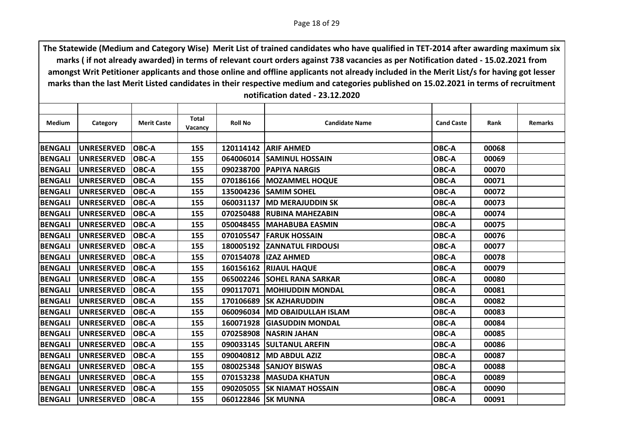| Medium         | Category          | <b>Merit Caste</b> | Total   | <b>Roll No</b> | <b>Candidate Name</b>         | <b>Cand Caste</b> | Rank  | <b>Remarks</b> |
|----------------|-------------------|--------------------|---------|----------------|-------------------------------|-------------------|-------|----------------|
|                |                   |                    | Vacancy |                |                               |                   |       |                |
| <b>BENGALI</b> | <b>UNRESERVED</b> | <b>OBC-A</b>       | 155     |                | 120114142 ARIF AHMED          | OBC-A             | 00068 |                |
| <b>BENGALI</b> | <b>UNRESERVED</b> | <b>OBC-A</b>       | 155     | 064006014      | <b>SAMINUL HOSSAIN</b>        | OBC-A             | 00069 |                |
| <b>BENGALI</b> | <b>UNRESERVED</b> | <b>OBC-A</b>       | 155     |                | 090238700 PAPIYA NARGIS       | OBC-A             | 00070 |                |
| <b>BENGALI</b> | <b>UNRESERVED</b> | <b>OBC-A</b>       | 155     |                | 070186166   MOZAMMEL HOQUE    | OBC-A             | 00071 |                |
| <b>BENGALI</b> | <b>UNRESERVED</b> | OBC-A              | 155     |                | 135004236 SAMIM SOHEL         | OBC-A             | 00072 |                |
| <b>BENGALI</b> | <b>UNRESERVED</b> | <b>OBC-A</b>       | 155     |                | 060031137 MD MERAJUDDIN SK    | OBC-A             | 00073 |                |
| <b>BENGALI</b> | <b>UNRESERVED</b> | <b>OBC-A</b>       | 155     | 070250488      | <b>IRUBINA MAHEZABIN</b>      | OBC-A             | 00074 |                |
| <b>BENGALI</b> | <b>UNRESERVED</b> | OBC-A              | 155     | 050048455      | <b>MAHABUBA EASMIN</b>        | OBC-A             | 00075 |                |
| <b>BENGALI</b> | <b>UNRESERVED</b> | <b>OBC-A</b>       | 155     |                | 070105547 FARUK HOSSAIN       | OBC-A             | 00076 |                |
| <b>BENGALI</b> | <b>UNRESERVED</b> | <b>OBC-A</b>       | 155     |                | 180005192 ZANNATUL FIRDOUSI   | OBC-A             | 00077 |                |
| <b>BENGALI</b> | <b>UNRESERVED</b> | OBC-A              | 155     | 070154078      | <b>IZAZ AHMED</b>             | OBC-A             | 00078 |                |
| <b>BENGALI</b> | <b>UNRESERVED</b> | <b>OBC-A</b>       | 155     |                | <b>160156162 RIJAUL HAQUE</b> | OBC-A             | 00079 |                |
| <b>BENGALI</b> | UNRESERVED        | <b>OBC-A</b>       | 155     |                | 065002246 SOHEL RANA SARKAR   | OBC-A             | 00080 |                |
| <b>BENGALI</b> | <b>UNRESERVED</b> | <b>OBC-A</b>       | 155     | 090117071      | IMOHIUDDIN MONDAL             | OBC-A             | 00081 |                |
| <b>BENGALI</b> | <b>UNRESERVED</b> | <b>OBC-A</b>       | 155     | 170106689      | <b>ISK AZHARUDDIN</b>         | OBC-A             | 00082 |                |
| <b>BENGALI</b> | <b>UNRESERVED</b> | <b>OBC-A</b>       | 155     | 060096034      | <b>MD OBAIDULLAH ISLAM</b>    | OBC-A             | 00083 |                |
| <b>BENGALI</b> | <b>UNRESERVED</b> | <b>OBC-A</b>       | 155     | 160071928      | <b>GIASUDDIN MONDAL</b>       | OBC-A             | 00084 |                |
| <b>BENGALI</b> | <b>UNRESERVED</b> | <b>OBC-A</b>       | 155     |                | 070258908   NASRIN JAHAN      | OBC-A             | 00085 |                |
| <b>BENGALI</b> | <b>UNRESERVED</b> | <b>OBC-A</b>       | 155     | 090033145      | <b>SULTANUL AREFIN</b>        | OBC-A             | 00086 |                |
| <b>BENGALI</b> | <b>UNRESERVED</b> | <b>OBC-A</b>       | 155     | 090040812      | <b>IMD ABDUL AZIZ</b>         | OBC-A             | 00087 |                |
| <b>BENGALI</b> | <b>UNRESERVED</b> | <b>OBC-A</b>       | 155     |                | 080025348 SANJOY BISWAS       | OBC-A             | 00088 |                |
| <b>BENGALI</b> | <b>UNRESERVED</b> | <b>OBC-A</b>       | 155     |                | 070153238   MASUDA KHATUN     | OBC-A             | 00089 |                |
| <b>BENGALI</b> | <b>UNRESERVED</b> | <b>OBC-A</b>       | 155     | 090205055      | <b>ISK NIAMAT HOSSAIN</b>     | OBC-A             | 00090 |                |
| <b>BENGALI</b> | <b>UNRESERVED</b> | OBC-A              | 155     |                | 060122846 SK MUNNA            | OBC-A             | 00091 |                |
|                |                   |                    |         |                |                               |                   |       |                |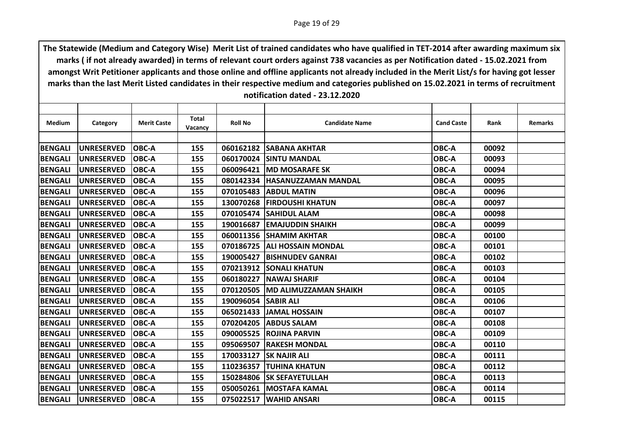| Medium         | Category          | <b>Merit Caste</b> | <b>Total</b><br><b>Vacancy</b> | <b>Roll No</b>      | <b>Candidate Name</b>         | <b>Cand Caste</b> | Rank  | <b>Remarks</b> |
|----------------|-------------------|--------------------|--------------------------------|---------------------|-------------------------------|-------------------|-------|----------------|
|                |                   |                    |                                |                     |                               |                   |       |                |
| <b>BENGALI</b> | <b>UNRESERVED</b> | <b>OBC-A</b>       | 155                            |                     | 060162182 SABANA AKHTAR       | OBC-A             | 00092 |                |
| <b>BENGALI</b> | <b>UNRESERVED</b> | <b>OBC-A</b>       | 155                            | 060170024           | <b>ISINTU MANDAL</b>          | OBC-A             | 00093 |                |
| <b>BENGALI</b> | <b>UNRESERVED</b> | <b>OBC-A</b>       | 155                            | 060096421           | <b>IMD MOSARAFE SK</b>        | OBC-A             | 00094 |                |
| <b>BENGALI</b> | <b>UNRESERVED</b> | <b>OBC-A</b>       | 155                            |                     | 080142334 HASANUZZAMAN MANDAL | OBC-A             | 00095 |                |
| <b>BENGALI</b> | <b>UNRESERVED</b> | <b>OBC-A</b>       | 155                            | 070105483           | <b>ABDUL MATIN</b>            | OBC-A             | 00096 |                |
| <b>BENGALI</b> | <b>UNRESERVED</b> | <b>OBC-A</b>       | 155                            |                     | 130070268 FIRDOUSHI KHATUN    | OBC-A             | 00097 |                |
| <b>BENGALI</b> | <b>UNRESERVED</b> | <b>OBC-A</b>       | 155                            |                     | 070105474 SAHIDUL ALAM        | OBC-A             | 00098 |                |
| <b>BENGALI</b> | <b>UNRESERVED</b> | <b>OBC-A</b>       | 155                            | 190016687           | <b>EMAJUDDIN SHAIKH</b>       | OBC-A             | 00099 |                |
| <b>BENGALI</b> | <b>UNRESERVED</b> | <b>OBC-A</b>       | 155                            |                     | 060011356 SHAMIM AKHTAR       | OBC-A             | 00100 |                |
| <b>BENGALI</b> | <b>UNRESERVED</b> | <b>OBC-A</b>       | 155                            |                     | 070186725 ALI HOSSAIN MONDAL  | OBC-A             | 00101 |                |
| <b>BENGALI</b> | <b>UNRESERVED</b> | <b>OBC-A</b>       | 155                            | 190005427           | <b>IBISHNUDEV GANRAI</b>      | OBC-A             | 00102 |                |
| <b>BENGALI</b> | <b>UNRESERVED</b> | <b>OBC-A</b>       | 155                            |                     | 070213912 SONALI KHATUN       | OBC-A             | 00103 |                |
| <b>BENGALI</b> | <b>UNRESERVED</b> | <b>OBC-A</b>       | 155                            | 060180227           | <b>NAWAJ SHARIF</b>           | OBC-A             | 00104 |                |
| <b>BENGALI</b> | <b>UNRESERVED</b> | <b>OBC-A</b>       | 155                            | 070120505           | <b>MD ALIMUZZAMAN SHAIKH</b>  | OBC-A             | 00105 |                |
| <b>BENGALI</b> | <b>UNRESERVED</b> | <b>OBC-A</b>       | 155                            | 190096054 SABIR ALI |                               | OBC-A             | 00106 |                |
| <b>BENGALI</b> | <b>UNRESERVED</b> | <b>OBC-A</b>       | 155                            | 065021433           | <b>JAMAL HOSSAIN</b>          | OBC-A             | 00107 |                |
| <b>BENGALI</b> | <b>UNRESERVED</b> | <b>OBC-A</b>       | 155                            | 070204205           | <b>JABDUS SALAM</b>           | OBC-A             | 00108 |                |
| <b>BENGALI</b> | <b>UNRESERVED</b> | <b>OBC-A</b>       | 155                            |                     | 090005525 ROJINA PARVIN       | OBC-A             | 00109 |                |
| <b>BENGALI</b> | <b>UNRESERVED</b> | <b>OBC-A</b>       | 155                            | 095069507           | <b>IRAKESH MONDAL</b>         | OBC-A             | 00110 |                |
| <b>BENGALI</b> | <b>UNRESERVED</b> | <b>OBC-A</b>       | 155                            | 170033127           | <b>SK NAJIR ALI</b>           | OBC-A             | 00111 |                |
| <b>BENGALI</b> | <b>UNRESERVED</b> | <b>OBC-A</b>       | 155                            |                     | 110236357 TUHINA KHATUN       | OBC-A             | 00112 |                |
| <b>BENGALI</b> | <b>UNRESERVED</b> | <b>OBC-A</b>       | 155                            | 150284806           | <b>SK SEFAYETULLAH</b>        | OBC-A             | 00113 |                |
| <b>BENGALI</b> | <b>UNRESERVED</b> | <b>OBC-A</b>       | 155                            |                     | 050050261   MOSTAFA KAMAL     | OBC-A             | 00114 |                |
| <b>BENGALI</b> | <b>UNRESERVED</b> | <b>OBC-A</b>       | 155                            |                     | 075022517   WAHID ANSARI      | OBC-A             | 00115 |                |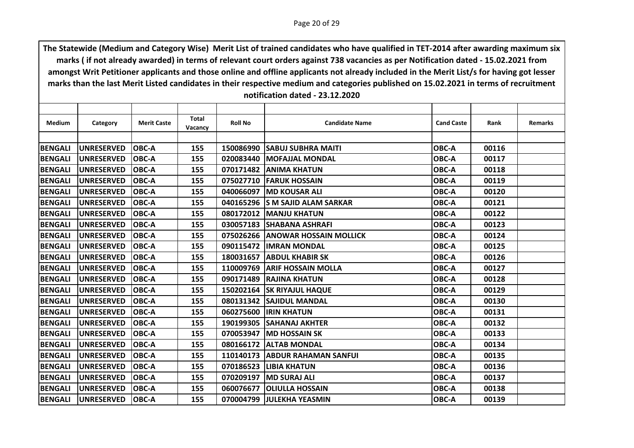|                |                   |                    | Total   |                |                                  |                   |       |                |
|----------------|-------------------|--------------------|---------|----------------|----------------------------------|-------------------|-------|----------------|
| <b>Medium</b>  | Category          | <b>Merit Caste</b> | Vacancy | <b>Roll No</b> | <b>Candidate Name</b>            | <b>Cand Caste</b> | Rank  | <b>Remarks</b> |
|                |                   |                    |         |                |                                  |                   |       |                |
| <b>BENGALI</b> | <b>UNRESERVED</b> | <b>OBC-A</b>       | 155     |                | 150086990 SABUJ SUBHRA MAITI     | OBC-A             | 00116 |                |
| <b>BENGALI</b> | <b>UNRESERVED</b> | <b>OBC-A</b>       | 155     | 020083440      | <b>IMOFAJJAL MONDAL</b>          | OBC-A             | 00117 |                |
| <b>BENGALI</b> | <b>UNRESERVED</b> | <b>OBC-A</b>       | 155     |                | 070171482 ANIMA KHATUN           | OBC-A             | 00118 |                |
| <b>BENGALI</b> | <b>UNRESERVED</b> | <b>OBC-A</b>       | 155     |                | 075027710 FARUK HOSSAIN          | OBC-A             | 00119 |                |
| <b>BENGALI</b> | <b>UNRESERVED</b> | <b>OBC-A</b>       | 155     | 040066097      | <b>IMD KOUSAR ALI</b>            | OBC-A             | 00120 |                |
| <b>BENGALI</b> | <b>UNRESERVED</b> | <b>OBC-A</b>       | 155     |                | 040165296 S M SAJID ALAM SARKAR  | OBC-A             | 00121 |                |
| <b>BENGALI</b> | <b>UNRESERVED</b> | <b>OBC-A</b>       | 155     |                | 080172012 MANJU KHATUN           | OBC-A             | 00122 |                |
| <b>BENGALI</b> | <b>UNRESERVED</b> | <b>OBC-A</b>       | 155     | 030057183      | <b>ISHABANA ASHRAFI</b>          | OBC-A             | 00123 |                |
| <b>BENGALI</b> | <b>UNRESERVED</b> | <b>OBC-A</b>       | 155     |                | 075026266 ANOWAR HOSSAIN MOLLICK | <b>OBC-A</b>      | 00124 |                |
| <b>BENGALI</b> | <b>UNRESERVED</b> | <b>OBC-A</b>       | 155     |                | 090115472  IMRAN MONDAL          | OBC-A             | 00125 |                |
| <b>BENGALI</b> | <b>UNRESERVED</b> | <b>OBC-A</b>       | 155     | 180031657      | <b>JABDUL KHABIR SK</b>          | OBC-A             | 00126 |                |
| <b>BENGALI</b> | <b>UNRESERVED</b> | <b>OBC-A</b>       | 155     |                | 110009769 ARIF HOSSAIN MOLLA     | <b>OBC-A</b>      | 00127 |                |
| <b>BENGALI</b> | <b>UNRESERVED</b> | <b>OBC-A</b>       | 155     |                | 090171489 RAJINA KHATUN          | OBC-A             | 00128 |                |
| <b>BENGALI</b> | <b>UNRESERVED</b> | <b>OBC-A</b>       | 155     | 150202164      | <b>SK RIYAJUL HAQUE</b>          | OBC-A             | 00129 |                |
| <b>BENGALI</b> | UNRESERVED        | <b>OBC-A</b>       | 155     |                | 080131342 SAJIDUL MANDAL         | OBC-A             | 00130 |                |
| <b>BENGALI</b> | <b>UNRESERVED</b> | <b>OBC-A</b>       | 155     | 060275600      | <b>IRIN KHATUN</b>               | OBC-A             | 00131 |                |
| <b>BENGALI</b> | <b>UNRESERVED</b> | <b>OBC-A</b>       | 155     | 190199305      | <b>SAHANAJ AKHTER</b>            | OBC-A             | 00132 |                |
| <b>BENGALI</b> | <b>UNRESERVED</b> | <b>OBC-A</b>       | 155     |                | 070053947  MD HOSSAIN SK         | <b>OBC-A</b>      | 00133 |                |
| <b>BENGALI</b> | <b>UNRESERVED</b> | <b>OBC-A</b>       | 155     | 080166172      | <b>ALTAB MONDAL</b>              | OBC-A             | 00134 |                |
| <b>BENGALI</b> | <b>UNRESERVED</b> | <b>OBC-A</b>       | 155     | 110140173      | <b>IABDUR RAHAMAN SANFUL</b>     | OBC-A             | 00135 |                |
| <b>BENGALI</b> | <b>UNRESERVED</b> | <b>OBC-A</b>       | 155     |                | 070186523 LIBIA KHATUN           | <b>OBC-A</b>      | 00136 |                |
| <b>BENGALI</b> | <b>UNRESERVED</b> | <b>OBC-A</b>       | 155     | 070209197      | <b>IMD SURAJ ALI</b>             | OBC-A             | 00137 |                |
| <b>BENGALI</b> | <b>UNRESERVED</b> | <b>OBC-A</b>       | 155     | 060076677      | <b>OLIULLA HOSSAIN</b>           | OBC-A             | 00138 |                |
| <b>BENGALI</b> | UNRESERVED        | <b>OBC-A</b>       | 155     |                | 070004799 JJULEKHA YEASMIN       | <b>OBC-A</b>      | 00139 |                |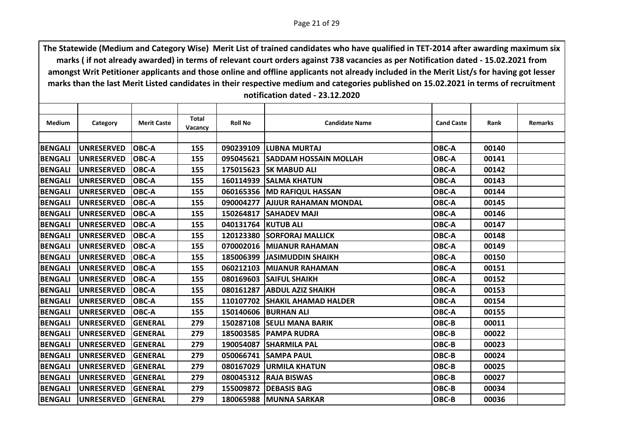| Medium         | Category          | <b>Merit Caste</b> | <b>Total</b> | <b>Roll No</b> | <b>Candidate Name</b>           | <b>Cand Caste</b> | Rank  | <b>Remarks</b> |
|----------------|-------------------|--------------------|--------------|----------------|---------------------------------|-------------------|-------|----------------|
|                |                   |                    | Vacancy      |                |                                 |                   |       |                |
| <b>BENGALI</b> | <b>UNRESERVED</b> | <b>OBC-A</b>       | 155          |                | 090239109 LUBNA MURTAJ          | OBC-A             | 00140 |                |
| <b>BENGALI</b> | <b>UNRESERVED</b> | <b>OBC-A</b>       | 155          | 095045621      | <b>SADDAM HOSSAIN MOLLAH</b>    | OBC-A             | 00141 |                |
| <b>BENGALI</b> | <b>UNRESERVED</b> | <b>OBC-A</b>       | 155          |                | 175015623 SK MABUD ALI          | OBC-A             | 00142 |                |
|                |                   |                    |              |                |                                 |                   |       |                |
| <b>BENGALI</b> | <b>UNRESERVED</b> | <b>OBC-A</b>       | 155          |                | 160114939 SALMA KHATUN          | OBC-A             | 00143 |                |
| <b>BENGALI</b> | <b>UNRESERVED</b> | <b>OBC-A</b>       | 155          |                | 060165356 MD RAFIQUL HASSAN     | OBC-A             | 00144 |                |
| <b>BENGALI</b> | <b>UNRESERVED</b> | <b>OBC-A</b>       | 155          |                | 090004277 AJIJUR RAHAMAN MONDAL | OBC-A             | 00145 |                |
| <b>BENGALI</b> | <b>UNRESERVED</b> | <b>OBC-A</b>       | 155          | 150264817      | <b>SAHADEV MAJI</b>             | OBC-A             | 00146 |                |
| <b>BENGALI</b> | <b>UNRESERVED</b> | <b>OBC-A</b>       | 155          | 040131764      | <b>KUTUB ALI</b>                | OBC-A             | 00147 |                |
| <b>BENGALI</b> | <b>UNRESERVED</b> | <b>OBC-A</b>       | 155          |                | 120123380 SORFORAJ MALLICK      | OBC-A             | 00148 |                |
| <b>BENGALI</b> | <b>UNRESERVED</b> | <b>OBC-A</b>       | 155          |                | 070002016 MIJANUR RAHAMAN       | OBC-A             | 00149 |                |
| <b>BENGALI</b> | <b>UNRESERVED</b> | <b>OBC-A</b>       | 155          | 185006399      | <b>JJASIMUDDIN SHAIKH</b>       | OBC-A             | 00150 |                |
| <b>BENGALI</b> | <b>UNRESERVED</b> | <b>OBC-A</b>       | 155          |                | 060212103 MIJANUR RAHAMAN       | OBC-A             | 00151 |                |
| <b>BENGALI</b> | <b>UNRESERVED</b> | <b>OBC-A</b>       | 155          |                | 080169603 SAIFUL SHAIKH         | OBC-A             | 00152 |                |
| <b>BENGALI</b> | <b>UNRESERVED</b> | <b>OBC-A</b>       | 155          | 080161287      | <b>ABDUL AZIZ SHAIKH</b>        | OBC-A             | 00153 |                |
| <b>BENGALI</b> | <b>UNRESERVED</b> | <b>OBC-A</b>       | 155          | 110107702      | <b>SHAKIL AHAMAD HALDER</b>     | OBC-A             | 00154 |                |
| <b>BENGALI</b> | <b>UNRESERVED</b> | <b>OBC-A</b>       | 155          |                | 150140606 BURHAN ALI            | OBC-A             | 00155 |                |
| <b>BENGALI</b> | <b>UNRESERVED</b> | <b>GENERAL</b>     | 279          | 150287108      | <b>SEULI MANA BARIK</b>         | OBC-B             | 00011 |                |
| <b>BENGALI</b> | <b>UNRESERVED</b> | <b>GENERAL</b>     | 279          |                | 185003585   PAMPA RUDRA         | OBC-B             | 00022 |                |
| <b>BENGALI</b> | <b>UNRESERVED</b> | <b>GENERAL</b>     | 279          | 190054087      | <b>SHARMILA PAL</b>             | OBC-B             | 00023 |                |
| <b>BENGALI</b> | <b>UNRESERVED</b> | <b>GENERAL</b>     | 279          | 050066741      | <b>ISAMPA PAUL</b>              | OBC-B             | 00024 |                |
| <b>BENGALI</b> | <b>UNRESERVED</b> | <b>GENERAL</b>     | 279          |                | 080167029   URMILA KHATUN       | OBC-B             | 00025 |                |
| <b>BENGALI</b> | <b>UNRESERVED</b> | <b>GENERAL</b>     | 279          | 080045312      | <b>RAJA BISWAS</b>              | OBC-B             | 00027 |                |
| <b>BENGALI</b> | <b>UNRESERVED</b> | <b>GENERAL</b>     | 279          | 155009872      | <b>DEBASIS BAG</b>              | OBC-B             | 00034 |                |
| <b>BENGALI</b> | <b>UNRESERVED</b> | <b>GENERAL</b>     | 279          |                | 180065988 MUNNA SARKAR          | OBC-B             | 00036 |                |
|                |                   |                    |              |                |                                 |                   |       |                |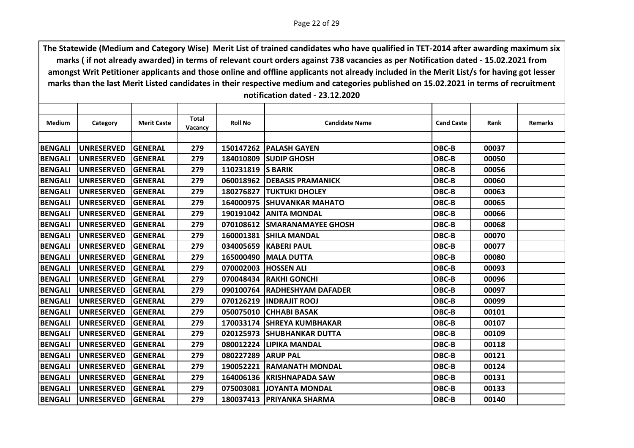| Category          | <b>Merit Caste</b>                                                                                                                                                                                             |                                                                                                                                                                                  | <b>Roll No</b>                                                                         | <b>Candidate Name</b>               | <b>Cand Caste</b>                                                                                                                                                                                                                                                                                                                                                                                                                                                                                                                                                                                                                                                     | Rank                                                                                   | <b>Remarks</b>                                                                         |
|-------------------|----------------------------------------------------------------------------------------------------------------------------------------------------------------------------------------------------------------|----------------------------------------------------------------------------------------------------------------------------------------------------------------------------------|----------------------------------------------------------------------------------------|-------------------------------------|-----------------------------------------------------------------------------------------------------------------------------------------------------------------------------------------------------------------------------------------------------------------------------------------------------------------------------------------------------------------------------------------------------------------------------------------------------------------------------------------------------------------------------------------------------------------------------------------------------------------------------------------------------------------------|----------------------------------------------------------------------------------------|----------------------------------------------------------------------------------------|
|                   |                                                                                                                                                                                                                |                                                                                                                                                                                  |                                                                                        |                                     |                                                                                                                                                                                                                                                                                                                                                                                                                                                                                                                                                                                                                                                                       |                                                                                        |                                                                                        |
|                   |                                                                                                                                                                                                                |                                                                                                                                                                                  |                                                                                        |                                     |                                                                                                                                                                                                                                                                                                                                                                                                                                                                                                                                                                                                                                                                       |                                                                                        |                                                                                        |
|                   |                                                                                                                                                                                                                |                                                                                                                                                                                  |                                                                                        |                                     |                                                                                                                                                                                                                                                                                                                                                                                                                                                                                                                                                                                                                                                                       |                                                                                        |                                                                                        |
|                   |                                                                                                                                                                                                                |                                                                                                                                                                                  |                                                                                        |                                     |                                                                                                                                                                                                                                                                                                                                                                                                                                                                                                                                                                                                                                                                       |                                                                                        |                                                                                        |
|                   |                                                                                                                                                                                                                |                                                                                                                                                                                  |                                                                                        |                                     |                                                                                                                                                                                                                                                                                                                                                                                                                                                                                                                                                                                                                                                                       |                                                                                        |                                                                                        |
|                   |                                                                                                                                                                                                                |                                                                                                                                                                                  |                                                                                        |                                     |                                                                                                                                                                                                                                                                                                                                                                                                                                                                                                                                                                                                                                                                       |                                                                                        |                                                                                        |
|                   |                                                                                                                                                                                                                |                                                                                                                                                                                  |                                                                                        |                                     |                                                                                                                                                                                                                                                                                                                                                                                                                                                                                                                                                                                                                                                                       |                                                                                        |                                                                                        |
|                   |                                                                                                                                                                                                                |                                                                                                                                                                                  |                                                                                        |                                     |                                                                                                                                                                                                                                                                                                                                                                                                                                                                                                                                                                                                                                                                       |                                                                                        |                                                                                        |
|                   |                                                                                                                                                                                                                |                                                                                                                                                                                  |                                                                                        |                                     |                                                                                                                                                                                                                                                                                                                                                                                                                                                                                                                                                                                                                                                                       |                                                                                        |                                                                                        |
|                   |                                                                                                                                                                                                                |                                                                                                                                                                                  |                                                                                        |                                     |                                                                                                                                                                                                                                                                                                                                                                                                                                                                                                                                                                                                                                                                       |                                                                                        |                                                                                        |
|                   |                                                                                                                                                                                                                |                                                                                                                                                                                  |                                                                                        |                                     |                                                                                                                                                                                                                                                                                                                                                                                                                                                                                                                                                                                                                                                                       |                                                                                        |                                                                                        |
|                   |                                                                                                                                                                                                                |                                                                                                                                                                                  |                                                                                        |                                     |                                                                                                                                                                                                                                                                                                                                                                                                                                                                                                                                                                                                                                                                       |                                                                                        |                                                                                        |
| <b>UNRESERVED</b> | <b>GENERAL</b>                                                                                                                                                                                                 | 279                                                                                                                                                                              | 165000490                                                                              |                                     | OBC-B                                                                                                                                                                                                                                                                                                                                                                                                                                                                                                                                                                                                                                                                 | 00080                                                                                  |                                                                                        |
| <b>UNRESERVED</b> | <b>GENERAL</b>                                                                                                                                                                                                 | 279                                                                                                                                                                              |                                                                                        |                                     | OBC-B                                                                                                                                                                                                                                                                                                                                                                                                                                                                                                                                                                                                                                                                 | 00093                                                                                  |                                                                                        |
| <b>UNRESERVED</b> | <b>GENERAL</b>                                                                                                                                                                                                 | 279                                                                                                                                                                              |                                                                                        |                                     | OBC-B                                                                                                                                                                                                                                                                                                                                                                                                                                                                                                                                                                                                                                                                 | 00096                                                                                  |                                                                                        |
| <b>UNRESERVED</b> | <b>GENERAL</b>                                                                                                                                                                                                 | 279                                                                                                                                                                              | 090100764                                                                              |                                     | OBC-B                                                                                                                                                                                                                                                                                                                                                                                                                                                                                                                                                                                                                                                                 | 00097                                                                                  |                                                                                        |
| <b>UNRESERVED</b> | <b>GENERAL</b>                                                                                                                                                                                                 | 279                                                                                                                                                                              |                                                                                        |                                     | OBC-B                                                                                                                                                                                                                                                                                                                                                                                                                                                                                                                                                                                                                                                                 | 00099                                                                                  |                                                                                        |
| <b>UNRESERVED</b> | <b>GENERAL</b>                                                                                                                                                                                                 | 279                                                                                                                                                                              | 050075010                                                                              |                                     | OBC-B                                                                                                                                                                                                                                                                                                                                                                                                                                                                                                                                                                                                                                                                 | 00101                                                                                  |                                                                                        |
| <b>UNRESERVED</b> | <b>GENERAL</b>                                                                                                                                                                                                 | 279                                                                                                                                                                              |                                                                                        |                                     | OBC-B                                                                                                                                                                                                                                                                                                                                                                                                                                                                                                                                                                                                                                                                 | 00107                                                                                  |                                                                                        |
| <b>UNRESERVED</b> | <b>GENERAL</b>                                                                                                                                                                                                 | 279                                                                                                                                                                              |                                                                                        |                                     | OBC-B                                                                                                                                                                                                                                                                                                                                                                                                                                                                                                                                                                                                                                                                 | 00109                                                                                  |                                                                                        |
| <b>UNRESERVED</b> | <b>GENERAL</b>                                                                                                                                                                                                 | 279                                                                                                                                                                              | 080012224                                                                              |                                     | OBC-B                                                                                                                                                                                                                                                                                                                                                                                                                                                                                                                                                                                                                                                                 | 00118                                                                                  |                                                                                        |
| <b>UNRESERVED</b> | <b>GENERAL</b>                                                                                                                                                                                                 | 279                                                                                                                                                                              | 080227289                                                                              |                                     | OBC-B                                                                                                                                                                                                                                                                                                                                                                                                                                                                                                                                                                                                                                                                 | 00121                                                                                  |                                                                                        |
| <b>UNRESERVED</b> | <b>GENERAL</b>                                                                                                                                                                                                 | 279                                                                                                                                                                              |                                                                                        |                                     | OBC-B                                                                                                                                                                                                                                                                                                                                                                                                                                                                                                                                                                                                                                                                 | 00124                                                                                  |                                                                                        |
| <b>UNRESERVED</b> | <b>GENERAL</b>                                                                                                                                                                                                 | 279                                                                                                                                                                              |                                                                                        |                                     | OBC-B                                                                                                                                                                                                                                                                                                                                                                                                                                                                                                                                                                                                                                                                 | 00131                                                                                  |                                                                                        |
| <b>UNRESERVED</b> | <b>GENERAL</b>                                                                                                                                                                                                 | 279                                                                                                                                                                              | 075003081                                                                              |                                     | OBC-B                                                                                                                                                                                                                                                                                                                                                                                                                                                                                                                                                                                                                                                                 | 00133                                                                                  |                                                                                        |
| <b>UNRESERVED</b> | <b>GENERAL</b>                                                                                                                                                                                                 | 279                                                                                                                                                                              |                                                                                        |                                     | OBC-B                                                                                                                                                                                                                                                                                                                                                                                                                                                                                                                                                                                                                                                                 | 00140                                                                                  |                                                                                        |
|                   | <b>UNRESERVED</b><br><b>UNRESERVED</b><br><b>UNRESERVED</b><br><b>UNRESERVED</b><br><b>UNRESERVED</b><br><b>UNRESERVED</b><br><b>UNRESERVED</b><br><b>UNRESERVED</b><br><b>UNRESERVED</b><br><b>UNRESERVED</b> | <b>GENERAL</b><br><b>GENERAL</b><br><b>GENERAL</b><br><b>GENERAL</b><br><b>GENERAL</b><br><b>GENERAL</b><br><b>GENERAL</b><br><b>GENERAL</b><br><b>GENERAL</b><br><b>GENERAL</b> | Total<br>Vacancy<br>279<br>279<br>279<br>279<br>279<br>279<br>279<br>279<br>279<br>279 | 184010809<br>180276827<br>070108612 | 150147262   PALASH GAYEN<br><b>SUDIP GHOSH</b><br>110231819 S BARIK<br>060018962 DEBASIS PRAMANICK<br><b>TUKTUKI DHOLEY</b><br><b>164000975 SHUVANKAR MAHATO</b><br><b>190191042 ANITA MONDAL</b><br><b>ISMARANAMAYEE GHOSH</b><br>160001381 SHILA MANDAL<br>034005659 KABERI PAUL<br><b>IMALA DUTTA</b><br>070002003 HOSSEN ALI<br>070048434 RAKHI GONCHI<br><b>IRADHESHYAM DAFADER</b><br>070126219  INDRAJIT ROOJ<br><b>CHHABI BASAK</b><br>170033174 SHREYA KUMBHAKAR<br>020125973 SHUBHANKAR DUTTA<br><b>LIPIKA MANDAL</b><br><b>ARUP PAL</b><br>190052221 RAMANATH MONDAL<br>164006136 KRISHNAPADA SAW<br><b>JJOYANTA MONDAL</b><br>180037413   PRIYANKA SHARMA | OBC-B<br>OBC-B<br>OBC-B<br>OBC-B<br>OBC-B<br>OBC-B<br>OBC-B<br>OBC-B<br>OBC-B<br>OBC-B | 00037<br>00050<br>00056<br>00060<br>00063<br>00065<br>00066<br>00068<br>00070<br>00077 |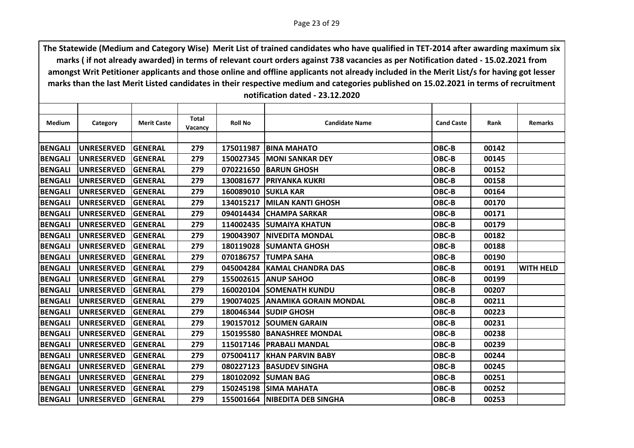| Medium         | Category          | <b>Merit Caste</b> | Total<br>Vacancy | <b>Roll No</b> | <b>Candidate Name</b>           | <b>Cand Caste</b> | Rank  | <b>Remarks</b>   |
|----------------|-------------------|--------------------|------------------|----------------|---------------------------------|-------------------|-------|------------------|
|                |                   |                    |                  |                |                                 |                   |       |                  |
| <b>BENGALI</b> | <b>UNRESERVED</b> | <b>GENERAL</b>     | 279              |                | 175011987   BINA MAHATO         | <b>OBC-B</b>      | 00142 |                  |
| <b>BENGALI</b> | <b>UNRESERVED</b> | <b>GENERAL</b>     | 279              |                | 150027345  MONI SANKAR DEY      | OBC-B             | 00145 |                  |
| <b>BENGALI</b> | <b>UNRESERVED</b> | <b>GENERAL</b>     | 279              |                | 070221650 BARUN GHOSH           | OBC-B             | 00152 |                  |
| <b>BENGALI</b> | <b>UNRESERVED</b> | <b>GENERAL</b>     | 279              |                | 130081677   PRIYANKA KUKRI      | OBC-B             | 00158 |                  |
| <b>BENGALI</b> | <b>UNRESERVED</b> | <b>GENERAL</b>     | 279              | 160089010      | <b>SUKLA KAR</b>                | OBC-B             | 00164 |                  |
| <b>BENGALI</b> | <b>UNRESERVED</b> | <b>GENERAL</b>     | 279              |                | 134015217 MILAN KANTI GHOSH     | OBC-B             | 00170 |                  |
| <b>BENGALI</b> | <b>UNRESERVED</b> | <b>GENERAL</b>     | 279              |                | 094014434 CHAMPA SARKAR         | OBC-B             | 00171 |                  |
| <b>BENGALI</b> | <b>UNRESERVED</b> | <b>GENERAL</b>     | 279              |                | 114002435 SUMAIYA KHATUN        | OBC-B             | 00179 |                  |
| <b>BENGALI</b> | <b>UNRESERVED</b> | <b>GENERAL</b>     | 279              |                | 190043907   NIVEDITA MONDAL     | OBC-B             | 00182 |                  |
| <b>BENGALI</b> | <b>UNRESERVED</b> | <b>GENERAL</b>     | 279              | 180119028      | <b>SUMANTA GHOSH</b>            | OBC-B             | 00188 |                  |
| <b>BENGALI</b> | <b>UNRESERVED</b> | <b>GENERAL</b>     | 279              | 070186757      | <b>TUMPA SAHA</b>               | OBC-B             | 00190 |                  |
| <b>BENGALI</b> | <b>UNRESERVED</b> | <b>GENERAL</b>     | 279              |                | 045004284   KAMAL CHANDRA DAS   | OBC-B             | 00191 | <b>WITH HELD</b> |
| <b>BENGALI</b> | <b>UNRESERVED</b> | <b>GENERAL</b>     | 279              |                | 155002615 ANUP SAHOO            | OBC-B             | 00199 |                  |
| <b>BENGALI</b> | <b>UNRESERVED</b> | GENERAL            | 279              | 160020104      | <b>SOMENATH KUNDU</b>           | OBC-B             | 00207 |                  |
| <b>BENGALI</b> | <b>UNRESERVED</b> | <b>GENERAL</b>     | 279              |                | 190074025 ANAMIKA GORAIN MONDAL | OBC-B             | 00211 |                  |
| <b>BENGALI</b> | <b>UNRESERVED</b> | <b>GENERAL</b>     | 279              |                | 180046344 SUDIP GHOSH           | OBC-B             | 00223 |                  |
| <b>BENGALI</b> | <b>UNRESERVED</b> | <b>GENERAL</b>     | 279              |                | 190157012 SOUMEN GARAIN         | OBC-B             | 00231 |                  |
| <b>BENGALI</b> | <b>UNRESERVED</b> | <b>GENERAL</b>     | 279              |                | 150195580 BANASHREE MONDAL      | OBC-B             | 00238 |                  |
| <b>BENGALI</b> | <b>UNRESERVED</b> | <b>GENERAL</b>     | 279              |                | 115017146   PRABALI MANDAL      | OBC-B             | 00239 |                  |
| <b>BENGALI</b> | <b>UNRESERVED</b> | <b>GENERAL</b>     | 279              | 075004117      | <b>IKHAN PARVIN BABY</b>        | OBC-B             | 00244 |                  |
| <b>BENGALI</b> | <b>UNRESERVED</b> | GENERAL            | 279              |                | 080227123 BASUDEV SINGHA        | OBC-B             | 00245 |                  |
| <b>BENGALI</b> | <b>UNRESERVED</b> | <b>GENERAL</b>     | 279              | 180102092      | <b>SUMAN BAG</b>                | OBC-B             | 00251 |                  |
| <b>BENGALI</b> | <b>UNRESERVED</b> | <b>GENERAL</b>     | 279              |                | 150245198 SIMA MAHATA           | OBC-B             | 00252 |                  |
| <b>BENGALI</b> | <b>UNRESERVED</b> | <b>GENERAL</b>     | 279              |                | 155001664   NIBEDITA DEB SINGHA | OBC-B             | 00253 |                  |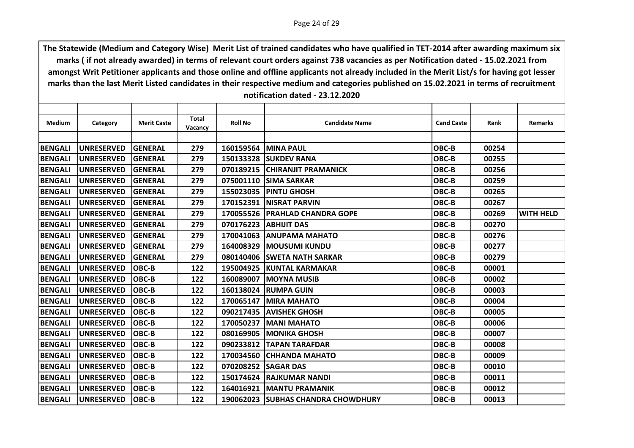| Medium         | Category          | <b>Merit Caste</b> | Total   | <b>Roll No</b> | <b>Candidate Name</b>              | <b>Cand Caste</b> | Rank  | <b>Remarks</b>   |
|----------------|-------------------|--------------------|---------|----------------|------------------------------------|-------------------|-------|------------------|
|                |                   |                    | Vacancy |                |                                    |                   |       |                  |
| <b>BENGALI</b> | <b>UNRESERVED</b> | <b>GENERAL</b>     | 279     |                | 160159564 MINA PAUL                | OBC-B             | 00254 |                  |
|                |                   |                    |         |                |                                    |                   |       |                  |
| <b>BENGALI</b> | <b>UNRESERVED</b> | <b>GENERAL</b>     | 279     | 150133328      | <b>ISUKDEV RANA</b>                | OBC-B             | 00255 |                  |
| <b>BENGALI</b> | <b>UNRESERVED</b> | <b>GENERAL</b>     | 279     |                | 070189215 CHIRANJIT PRAMANICK      | OBC-B             | 00256 |                  |
| <b>BENGALI</b> | <b>UNRESERVED</b> | <b>GENERAL</b>     | 279     | 075001110      | <b>SIMA SARKAR</b>                 | OBC-B             | 00259 |                  |
| <b>BENGALI</b> | <b>UNRESERVED</b> | <b>GENERAL</b>     | 279     | 155023035      | <b>PINTU GHOSH</b>                 | OBC-B             | 00265 |                  |
| <b>BENGALI</b> | <b>UNRESERVED</b> | <b>GENERAL</b>     | 279     | 170152391      | <b>INISRAT PARVIN</b>              | OBC-B             | 00267 |                  |
| <b>BENGALI</b> | <b>UNRESERVED</b> | <b>GENERAL</b>     | 279     | 170055526      | <b>PRAHLAD CHANDRA GOPE</b>        | OBC-B             | 00269 | <b>WITH HELD</b> |
| <b>BENGALI</b> | <b>UNRESERVED</b> | <b>GENERAL</b>     | 279     | 070176223      | IABHIJIT DAS                       | OBC-B             | 00270 |                  |
| <b>BENGALI</b> | <b>UNRESERVED</b> | <b>GENERAL</b>     | 279     |                | 170041063 ANUPAMA MAHATO           | OBC-B             | 00276 |                  |
| <b>BENGALI</b> | <b>UNRESERVED</b> | <b>GENERAL</b>     | 279     | 164008329      | <b>MOUSUMI KUNDU</b>               | OBC-B             | 00277 |                  |
| <b>BENGALI</b> | <b>UNRESERVED</b> | <b>GENERAL</b>     | 279     | 080140406      | <b>SWETA NATH SARKAR</b>           | OBC-B             | 00279 |                  |
| <b>BENGALI</b> | <b>UNRESERVED</b> | <b>OBC-B</b>       | 122     |                | 195004925   KUNTAL KARMAKAR        | OBC-B             | 00001 |                  |
| <b>BENGALI</b> | <b>UNRESERVED</b> | <b>OBC-B</b>       | 122     | 160089007      | <b>MOYNA MUSIB</b>                 | OBC-B             | 00002 |                  |
| <b>BENGALI</b> | <b>UNRESERVED</b> | <b>OBC-B</b>       | 122     | 160138024      | <b>RUMPA GUIN</b>                  | OBC-B             | 00003 |                  |
| <b>BENGALI</b> | <b>UNRESERVED</b> | <b>OBC-B</b>       | 122     |                | <b>170065147   MIRA MAHATO</b>     | OBC-B             | 00004 |                  |
| <b>BENGALI</b> | <b>UNRESERVED</b> | <b>OBC-B</b>       | 122     | 090217435      | <b>JAVISHEK GHOSH</b>              | OBC-B             | 00005 |                  |
| <b>BENGALI</b> | <b>UNRESERVED</b> | <b>OBC-B</b>       | 122     | 170050237      | <b>IMANI MAHATO</b>                | OBC-B             | 00006 |                  |
| <b>BENGALI</b> | <b>UNRESERVED</b> | <b>OBC-B</b>       | 122     |                | 080169905   MONIKA GHOSH           | OBC-B             | 00007 |                  |
| <b>BENGALI</b> | <b>UNRESERVED</b> | <b>OBC-B</b>       | 122     | 090233812      | <b>TAPAN TARAFDAR</b>              | OBC-B             | 00008 |                  |
| <b>BENGALI</b> | <b>UNRESERVED</b> | <b>OBC-B</b>       | 122     | 170034560      | <b>ICHHANDA MAHATO</b>             | OBC-B             | 00009 |                  |
| <b>BENGALI</b> | <b>UNRESERVED</b> | <b>OBC-B</b>       | 122     | 070208252      | <b>SAGAR DAS</b>                   | OBC-B             | 00010 |                  |
| <b>BENGALI</b> | <b>UNRESERVED</b> | <b>OBC-B</b>       | 122     | 150174624      | <b>IRAJKUMAR NANDI</b>             | OBC-B             | 00011 |                  |
| <b>BENGALI</b> | <b>UNRESERVED</b> | <b>OBC-B</b>       | 122     | 164016921      | <b>IMANTU PRAMANIK</b>             | OBC-B             | 00012 |                  |
| <b>BENGALI</b> | <b>UNRESERVED</b> | <b>OBC-B</b>       | 122     |                | 190062023 SUBHAS CHANDRA CHOWDHURY | OBC-B             | 00013 |                  |
|                |                   |                    |         |                |                                    |                   |       |                  |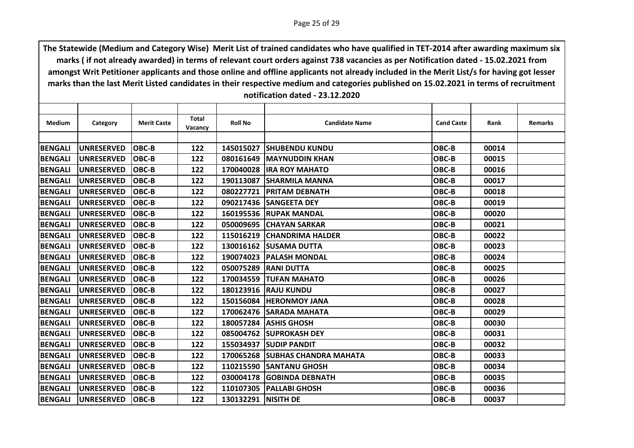| Medium         | Category          | <b>Merit Caste</b> | <b>Total</b> | <b>Roll No</b>        | <b>Candidate Name</b>           | <b>Cand Caste</b> | Rank  | <b>Remarks</b> |
|----------------|-------------------|--------------------|--------------|-----------------------|---------------------------------|-------------------|-------|----------------|
|                |                   |                    | Vacancy      |                       |                                 |                   |       |                |
| <b>BENGALI</b> | <b>UNRESERVED</b> | <b>OBC-B</b>       | 122          | 145015027             | <b>ISHUBENDU KUNDU</b>          | OBC-B             | 00014 |                |
| <b>BENGALI</b> | <b>UNRESERVED</b> | <b>OBC-B</b>       | 122          | 080161649             | <b>IMAYNUDDIN KHAN</b>          | OBC-B             | 00015 |                |
|                |                   | <b>OBC-B</b>       |              |                       |                                 |                   |       |                |
| <b>BENGALI</b> | <b>UNRESERVED</b> |                    | 122          |                       | <b>170040028 IRA ROY MAHATO</b> | OBC-B             | 00016 |                |
| <b>BENGALI</b> | <b>UNRESERVED</b> | <b>OBC-B</b>       | 122          | 190113087             | <b>SHARMILA MANNA</b>           | OBC-B             | 00017 |                |
| <b>BENGALI</b> | <b>UNRESERVED</b> | <b>OBC-B</b>       | 122          | 080227721             | <b>IPRITAM DEBNATH</b>          | OBC-B             | 00018 |                |
| <b>BENGALI</b> | <b>UNRESERVED</b> | <b>OBC-B</b>       | 122          |                       | 090217436 SANGEETA DEY          | OBC-B             | 00019 |                |
| <b>BENGALI</b> | <b>UNRESERVED</b> | <b>OBC-B</b>       | 122          |                       | <b>160195536 RUPAK MANDAL</b>   | OBC-B             | 00020 |                |
| <b>BENGALI</b> | <b>UNRESERVED</b> | <b>OBC-B</b>       | 122          | 050009695             | <b>ICHAYAN SARKAR</b>           | OBC-B             | 00021 |                |
| <b>BENGALI</b> | <b>UNRESERVED</b> | <b>OBC-B</b>       | 122          |                       | 115016219 CHANDRIMA HALDER      | OBC-B             | 00022 |                |
| <b>BENGALI</b> | <b>UNRESERVED</b> | <b>OBC-B</b>       | 122          |                       | 130016162 SUSAMA DUTTA          | OBC-B             | 00023 |                |
| <b>BENGALI</b> | <b>UNRESERVED</b> | <b>OBC-B</b>       | 122          | 190074023             | <b>PALASH MONDAL</b>            | OBC-B             | 00024 |                |
| <b>BENGALI</b> | <b>UNRESERVED</b> | <b>OBC-B</b>       | 122          | 050075289             | <b>IRANI DUTTA</b>              | OBC-B             | 00025 |                |
| <b>BENGALI</b> | <b>UNRESERVED</b> | <b>OBC-B</b>       | 122          | 170034559             | <b>TUFAN MAHATO</b>             | OBC-B             | 00026 |                |
| <b>BENGALI</b> | <b>UNRESERVED</b> | <b>OBC-B</b>       | 122          | 180123916             | <b>RAJU KUNDU</b>               | OBC-B             | 00027 |                |
| <b>BENGALI</b> | <b>UNRESERVED</b> | <b>OBC-B</b>       | 122          |                       | 150156084 HERONMOY JANA         | OBC-B             | 00028 |                |
| <b>BENGALI</b> | <b>UNRESERVED</b> | <b>OBC-B</b>       | 122          | 170062476             | <b>SARADA MAHATA</b>            | OBC-B             | 00029 |                |
| <b>BENGALI</b> | <b>UNRESERVED</b> | <b>OBC-B</b>       | 122          | 180057284             | <b>ASHIS GHOSH</b>              | OBC-B             | 00030 |                |
| <b>BENGALI</b> | <b>UNRESERVED</b> | <b>OBC-B</b>       | 122          |                       | 085004762 SUPROKASH DEY         | OBC-B             | 00031 |                |
| <b>BENGALI</b> | <b>UNRESERVED</b> | OBC-B              | 122          | 155034937             | <b>SUDIP PANDIT</b>             | OBC-B             | 00032 |                |
| <b>BENGALI</b> | <b>UNRESERVED</b> | <b>OBC-B</b>       | 122          | 170065268             | <b>SUBHAS CHANDRA MAHATA</b>    | OBC-B             | 00033 |                |
| <b>BENGALI</b> | <b>UNRESERVED</b> | <b>OBC-B</b>       | 122          | 110215590             | <b>ISANTANU GHOSH</b>           | OBC-B             | 00034 |                |
| <b>BENGALI</b> | <b>UNRESERVED</b> | <b>OBC-B</b>       | 122          | 030004178             | <b>GOBINDA DEBNATH</b>          | OBC-B             | 00035 |                |
| <b>BENGALI</b> | <b>UNRESERVED</b> | <b>OBC-B</b>       | 122          | 110107305             | <b>PALLABI GHOSH</b>            | OBC-B             | 00036 |                |
| <b>BENGALI</b> | <b>UNRESERVED</b> | <b>OBC-B</b>       | 122          | 130132291   NISITH DE |                                 | OBC-B             | 00037 |                |
|                |                   |                    |              |                       |                                 |                   |       |                |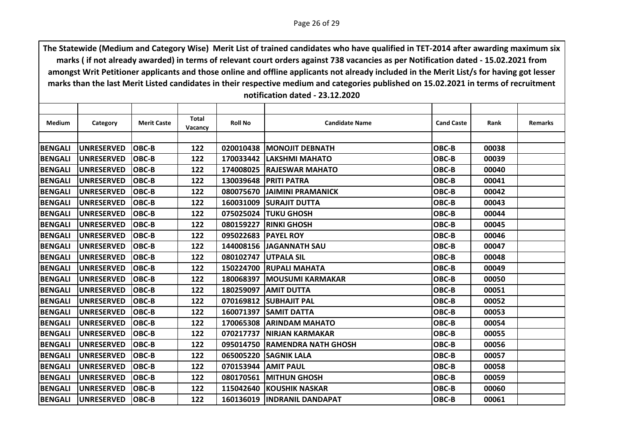| Medium         | Category          | <b>Merit Caste</b> | <b>Total</b> | <b>Roll No</b>      | <b>Candidate Name</b>        | <b>Cand Caste</b> | Rank  | <b>Remarks</b> |
|----------------|-------------------|--------------------|--------------|---------------------|------------------------------|-------------------|-------|----------------|
|                |                   |                    | Vacancy      |                     |                              |                   |       |                |
| <b>BENGALI</b> | <b>UNRESERVED</b> | <b>OBC-B</b>       | 122          | 020010438           | <b>MONOJIT DEBNATH</b>       | OBC-B             | 00038 |                |
|                |                   | <b>OBC-B</b>       |              |                     | <b>LAKSHMI MAHATO</b>        | OBC-B             |       |                |
| <b>BENGALI</b> | <b>UNRESERVED</b> |                    | 122          | 170033442           |                              |                   | 00039 |                |
| <b>BENGALI</b> | <b>UNRESERVED</b> | <b>OBC-B</b>       | 122          |                     | 174008025  RAJESWAR MAHATO   | OBC-B             | 00040 |                |
| <b>BENGALI</b> | <b>UNRESERVED</b> | <b>OBC-B</b>       | 122          | 130039648           | <b>PRITI PATRA</b>           | OBC-B             | 00041 |                |
| <b>BENGALI</b> | <b>UNRESERVED</b> | <b>OBC-B</b>       | 122          | 080075670           | <b>JAIMINI PRAMANICK</b>     | OBC-B             | 00042 |                |
| <b>BENGALI</b> | <b>UNRESERVED</b> | <b>OBC-B</b>       | 122          |                     | 160031009 SURAJIT DUTTA      | OBC-B             | 00043 |                |
| <b>BENGALI</b> | <b>UNRESERVED</b> | <b>OBC-B</b>       | 122          | 075025024           | <b>ITUKU GHOSH</b>           | OBC-B             | 00044 |                |
| <b>BENGALI</b> | <b>UNRESERVED</b> | <b>OBC-B</b>       | 122          | 080159227           | <b>RINKI GHOSH</b>           | OBC-B             | 00045 |                |
| <b>BENGALI</b> | <b>UNRESERVED</b> | <b>OBC-B</b>       | 122          | 095022683 PAYEL ROY |                              | OBC-B             | 00046 |                |
| <b>BENGALI</b> | <b>UNRESERVED</b> | <b>OBC-B</b>       | 122          | 144008156           | <b>JAGANNATH SAU</b>         | OBC-B             | 00047 |                |
| <b>BENGALI</b> | <b>UNRESERVED</b> | <b>OBC-B</b>       | 122          | 080102747           | <b>UTPALA SIL</b>            | OBC-B             | 00048 |                |
| <b>BENGALI</b> | <b>UNRESERVED</b> | <b>OBC-B</b>       | 122          |                     | 150224700 RUPALI MAHATA      | OBC-B             | 00049 |                |
| <b>BENGALI</b> | <b>UNRESERVED</b> | <b>OBC-B</b>       | 122          | 180068397           | <b>MOUSUMI KARMAKAR</b>      | OBC-B             | 00050 |                |
| <b>BENGALI</b> | <b>UNRESERVED</b> | <b>OBC-B</b>       | 122          | 180259097           | <b>JAMIT DUTTA</b>           | OBC-B             | 00051 |                |
| <b>BENGALI</b> | <b>UNRESERVED</b> | <b>OBC-B</b>       | 122          |                     | 070169812 SUBHAJIT PAL       | OBC-B             | 00052 |                |
| <b>BENGALI</b> | <b>UNRESERVED</b> | <b>OBC-B</b>       | 122          | 160071397           | <b>SAMIT DATTA</b>           | OBC-B             | 00053 |                |
| <b>BENGALI</b> | <b>UNRESERVED</b> | <b>OBC-B</b>       | 122          | 170065308           | <b>JARINDAM MAHATO</b>       | OBC-B             | 00054 |                |
| <b>BENGALI</b> | <b>UNRESERVED</b> | <b>OBC-B</b>       | 122          | 070217737           | <b>NIRJAN KARMAKAR</b>       | OBC-B             | 00055 |                |
| <b>BENGALI</b> | <b>UNRESERVED</b> | OBC-B              | 122          | 095014750           | <b>RAMENDRA NATH GHOSH</b>   | OBC-B             | 00056 |                |
| <b>BENGALI</b> | <b>UNRESERVED</b> | <b>OBC-B</b>       | 122          | 065005220           | <b>SAGNIK LALA</b>           | OBC-B             | 00057 |                |
| <b>BENGALI</b> | <b>UNRESERVED</b> | <b>OBC-B</b>       | 122          | 070153944           | <b>JAMIT PAUL</b>            | OBC-B             | 00058 |                |
| <b>BENGALI</b> | <b>UNRESERVED</b> | <b>OBC-B</b>       | 122          | 080170561           | <b>IMITHUN GHOSH</b>         | OBC-B             | 00059 |                |
| <b>BENGALI</b> | <b>UNRESERVED</b> | <b>OBC-B</b>       | 122          | 115042640           | <b>IKOUSHIK NASKAR</b>       | OBC-B             | 00060 |                |
| <b>BENGALI</b> | <b>UNRESERVED</b> | <b>OBC-B</b>       | 122          |                     | 160136019  INDRANIL DANDAPAT | OBC-B             | 00061 |                |
|                |                   |                    |              |                     |                              |                   |       |                |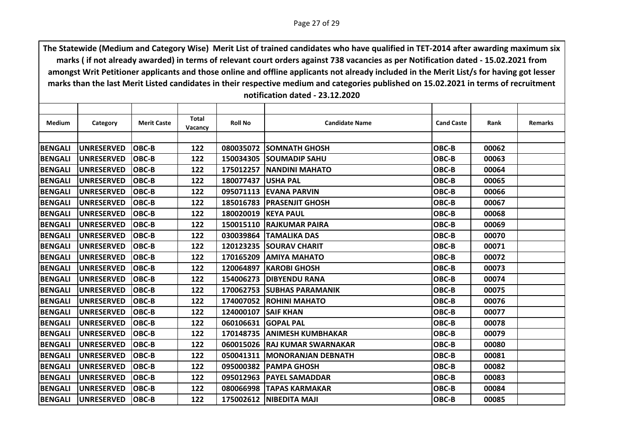| <b>Medium</b>  | Category          | <b>Merit Caste</b> | Total   | <b>Roll No</b> | <b>Candidate Name</b>         | <b>Cand Caste</b> | Rank  | <b>Remarks</b> |
|----------------|-------------------|--------------------|---------|----------------|-------------------------------|-------------------|-------|----------------|
|                |                   |                    | Vacancy |                |                               |                   |       |                |
| <b>BENGALI</b> | <b>UNRESERVED</b> | OBC-B              | 122     | 080035072      | <b>SOMNATH GHOSH</b>          | OBC-B             | 00062 |                |
| <b>BENGALI</b> | <b>UNRESERVED</b> | OBC-B              | 122     | 150034305      | <b>ISOUMADIP SAHU</b>         | OBC-B             | 00063 |                |
| <b>BENGALI</b> | <b>UNRESERVED</b> | <b>OBC-B</b>       | 122     |                | 175012257   NANDINI MAHATO    | OBC-B             | 00064 |                |
| <b>BENGALI</b> | <b>UNRESERVED</b> | OBC-B              | 122     | 180077437      | <b>USHA PAL</b>               | OBC-B             | 00065 |                |
| <b>BENGALI</b> | <b>UNRESERVED</b> | OBC-B              | 122     | 095071113      | <b>IEVANA PARVIN</b>          | OBC-B             | 00066 |                |
| <b>BENGALI</b> | <b>UNRESERVED</b> | <b>OBC-B</b>       | 122     |                | 185016783   PRASENJIT GHOSH   | OBC-B             | 00067 |                |
| <b>BENGALI</b> | <b>UNRESERVED</b> | OBC-B              | 122     |                | 180020019 KEYA PAUL           | OBC-B             | 00068 |                |
| <b>BENGALI</b> | <b>UNRESERVED</b> | OBC-B              | 122     | 150015110      | <b>RAJKUMAR PAIRA</b>         | OBC-B             | 00069 |                |
| <b>BENGALI</b> | <b>UNRESERVED</b> | <b>OBC-B</b>       | 122     | 030039864      | <b>ITAMALIKA DAS</b>          | OBC-B             | 00070 |                |
| <b>BENGALI</b> | <b>UNRESERVED</b> | OBC-B              | 122     | 120123235      | <b>SOURAV CHARIT</b>          | OBC-B             | 00071 |                |
| <b>BENGALI</b> | <b>UNRESERVED</b> | OBC-B              | 122     | 170165209      | IAMIYA MAHATO                 | OBC-B             | 00072 |                |
| <b>BENGALI</b> | <b>UNRESERVED</b> | OBC-B              | 122     | 120064897      | <b>IKAROBI GHOSH</b>          | OBC-B             | 00073 |                |
| <b>BENGALI</b> | <b>UNRESERVED</b> | OBC-B              | 122     | 154006273      | <b>IDIBYENDU RANA</b>         | OBC-B             | 00074 |                |
| <b>BENGALI</b> | <b>UNRESERVED</b> | OBC-B              | 122     | 170062753      | <b>ISUBHAS PARAMANIK</b>      | OBC-B             | 00075 |                |
| <b>BENGALI</b> | <b>UNRESERVED</b> | OBC-B              | 122     |                | 174007052 ROHINI MAHATO       | OBC-B             | 00076 |                |
| <b>BENGALI</b> | <b>UNRESERVED</b> | OBC-B              | 122     | 124000107      | <b>SAIF KHAN</b>              | OBC-B             | 00077 |                |
| <b>BENGALI</b> | <b>UNRESERVED</b> | OBC-B              | 122     | 060106631      | <b>IGOPAL PAL</b>             | OBC-B             | 00078 |                |
| <b>BENGALI</b> | <b>UNRESERVED</b> | OBC-B              | 122     |                | 170148735 ANIMESH KUMBHAKAR   | OBC-B             | 00079 |                |
| <b>BENGALI</b> | <b>UNRESERVED</b> | OBC-B              | 122     |                | 060015026 RAJ KUMAR SWARNAKAR | OBC-B             | 00080 |                |
| <b>BENGALI</b> | <b>UNRESERVED</b> | OBC-B              | 122     | 050041311      | <b>IMONORANJAN DEBNATH</b>    | OBC-B             | 00081 |                |
| <b>BENGALI</b> | <b>UNRESERVED</b> | OBC-B              | 122     |                | 095000382   PAMPA GHOSH       | OBC-B             | 00082 |                |
| <b>BENGALI</b> | <b>UNRESERVED</b> | OBC-B              | 122     | 095012963      | <b>IPAYEL SAMADDAR</b>        | OBC-B             | 00083 |                |
| <b>BENGALI</b> | <b>UNRESERVED</b> | OBC-B              | 122     | 080066998      | <b>TAPAS KARMAKAR</b>         | OBC-B             | 00084 |                |
| <b>BENGALI</b> | <b>UNRESERVED</b> | OBC-B              | 122     |                | 175002612 NIBEDITA MAJI       | OBC-B             | 00085 |                |
|                |                   |                    |         |                |                               |                   |       |                |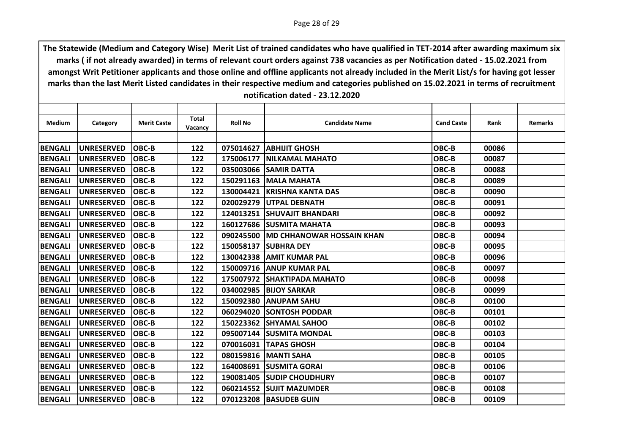| Medium         | Category          | <b>Merit Caste</b> | <b>Total</b><br><b>Vacancy</b> | <b>Roll No</b> | <b>Candidate Name</b>                 | <b>Cand Caste</b> | Rank  | <b>Remarks</b> |
|----------------|-------------------|--------------------|--------------------------------|----------------|---------------------------------------|-------------------|-------|----------------|
|                |                   |                    |                                |                |                                       |                   |       |                |
| <b>BENGALI</b> | <b>UNRESERVED</b> | <b>OBC-B</b>       | 122                            |                | 075014627   ABHIJIT GHOSH             | OBC-B             | 00086 |                |
| <b>BENGALI</b> | <b>UNRESERVED</b> | lOBC-B             | 122                            | 175006177      | <b>INILKAMAL MAHATO</b>               | OBC-B             | 00087 |                |
| <b>BENGALI</b> | <b>UNRESERVED</b> | <b>OBC-B</b>       | 122                            |                | 035003066 SAMIR DATTA                 | OBC-B             | 00088 |                |
| <b>BENGALI</b> | <b>UNRESERVED</b> | <b>OBC-B</b>       | 122                            |                | <b>150291163   MALA MAHATA</b>        | OBC-B             | 00089 |                |
| <b>BENGALI</b> | <b>UNRESERVED</b> | <b>OBC-B</b>       | 122                            | 130004421      | <b>IKRISHNA KANTA DAS</b>             | OBC-B             | 00090 |                |
| <b>BENGALI</b> | <b>UNRESERVED</b> | <b>OBC-B</b>       | 122                            |                | 020029279 UTPAL DEBNATH               | OBC-B             | 00091 |                |
| <b>BENGALI</b> | <b>UNRESERVED</b> | OBC-B              | 122                            |                | 124013251 SHUVAJIT BHANDARI           | OBC-B             | 00092 |                |
| <b>BENGALI</b> | <b>UNRESERVED</b> | <b>OBC-B</b>       | 122                            |                | 160127686 SUSMITA MAHATA              | OBC-B             | 00093 |                |
| <b>BENGALI</b> | <b>UNRESERVED</b> | <b>OBC-B</b>       | 122                            |                | 090245500   MD CHHANOWAR HOSSAIN KHAN | OBC-B             | 00094 |                |
| <b>BENGALI</b> | <b>UNRESERVED</b> | <b>OBC-B</b>       | 122                            | 150058137      | <b>SUBHRA DEY</b>                     | OBC-B             | 00095 |                |
| <b>BENGALI</b> | <b>UNRESERVED</b> | <b>OBC-B</b>       | 122                            | 130042338      | <b>AMIT KUMAR PAL</b>                 | OBC-B             | 00096 |                |
| <b>BENGALI</b> | <b>UNRESERVED</b> | <b>OBC-B</b>       | 122                            |                | 150009716 ANUP KUMAR PAL              | OBC-B             | 00097 |                |
| <b>BENGALI</b> | <b>UNRESERVED</b> | <b>OBC-B</b>       | 122                            | 175007972      | <b>SHAKTIPADA MAHATO</b>              | OBC-B             | 00098 |                |
| <b>BENGALI</b> | <b>UNRESERVED</b> | <b>OBC-B</b>       | 122                            | 034002985      | <b>BIJOY SARKAR</b>                   | OBC-B             | 00099 |                |
| <b>BENGALI</b> | <b>UNRESERVED</b> | <b>OBC-B</b>       | 122                            | 150092380      | <b>IANUPAM SAHU</b>                   | OBC-B             | 00100 |                |
| <b>BENGALI</b> | <b>UNRESERVED</b> | <b>OBC-B</b>       | 122                            | 060294020      | <b>ISONTOSH PODDAR</b>                | OBC-B             | 00101 |                |
| <b>BENGALI</b> | <b>UNRESERVED</b> | <b>OBC-B</b>       | 122                            | 150223362      | <b>ISHYAMAL SAHOO</b>                 | OBC-B             | 00102 |                |
| <b>BENGALI</b> | <b>UNRESERVED</b> | <b>OBC-B</b>       | 122                            |                | 095007144 SUSMITA MONDAL              | OBC-B             | 00103 |                |
| <b>BENGALI</b> | <b>UNRESERVED</b> | <b>OBC-B</b>       | 122                            | 070016031      | <b>TAPAS GHOSH</b>                    | OBC-B             | 00104 |                |
| <b>BENGALI</b> | <b>UNRESERVED</b> | <b>OBC-B</b>       | 122                            |                | 080159816   MANTI SAHA                | OBC-B             | 00105 |                |
| <b>BENGALI</b> | <b>UNRESERVED</b> | <b>OBC-B</b>       | 122                            |                | 164008691 SUSMITA GORAI               | OBC-B             | 00106 |                |
| <b>BENGALI</b> | <b>UNRESERVED</b> | <b>OBC-B</b>       | 122                            |                | 190081405 SUDIP CHOUDHURY             | OBC-B             | 00107 |                |
| <b>BENGALI</b> | <b>UNRESERVED</b> | <b>OBC-B</b>       | 122                            |                | 060214552 SUJIT MAZUMDER              | OBC-B             | 00108 |                |
| <b>BENGALI</b> | <b>UNRESERVED</b> | <b>OBC-B</b>       | 122                            |                | 070123208 BASUDEB GUIN                | OBC-B             | 00109 |                |